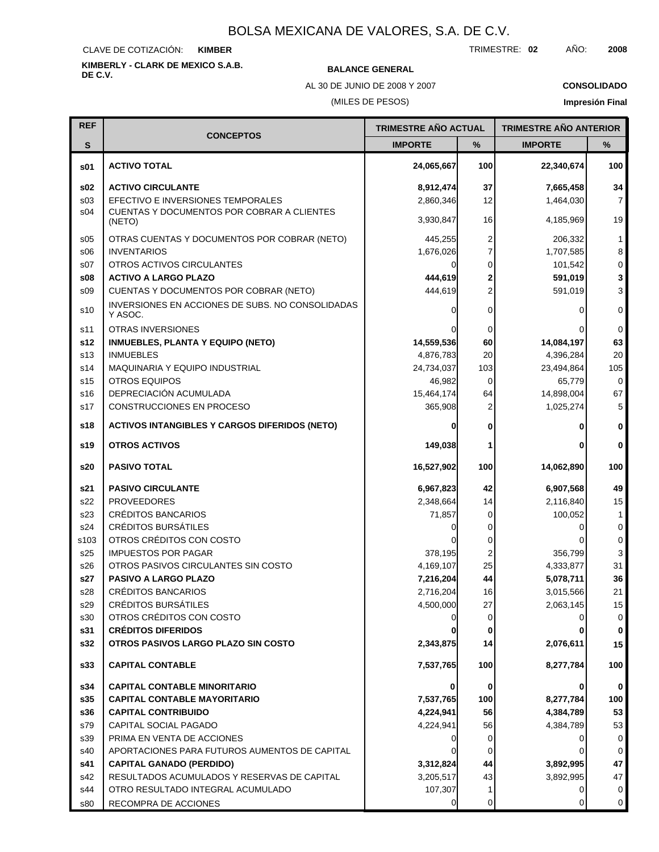CLAVE DE COTIZACIÓN: **KIMBER**

**KIMBERLY - CLARK DE MEXICO S.A.B.**

TRIMESTRE: **02** AÑO: **2008**

## **BALANCE GENERAL**

AL 30 DE JUNIO DE 2008 Y 2007

(MILES DE PESOS)

# **CONSOLIDADO**

| <b>REF</b>      |                                                                                          | <b>TRIMESTRE AÑO ACTUAL</b> |                | <b>TRIMESTRE AÑO ANTERIOR</b> |                     |
|-----------------|------------------------------------------------------------------------------------------|-----------------------------|----------------|-------------------------------|---------------------|
| S               | <b>CONCEPTOS</b>                                                                         | <b>IMPORTE</b>              | %              | <b>IMPORTE</b>                | %                   |
| s <sub>01</sub> | <b>ACTIVO TOTAL</b>                                                                      | 24,065,667                  | 100            | 22,340,674                    | 100                 |
| \$02            | <b>ACTIVO CIRCULANTE</b>                                                                 | 8,912,474                   | 37             | 7,665,458                     | 34                  |
| s <sub>03</sub> | EFECTIVO E INVERSIONES TEMPORALES                                                        | 2,860,346                   | 12             | 1,464,030                     | $\overline{7}$      |
| s04             | CUENTAS Y DOCUMENTOS POR COBRAR A CLIENTES<br>(NETO)                                     | 3,930,847                   | 16             | 4,185,969                     | 19                  |
| \$05            | OTRAS CUENTAS Y DOCUMENTOS POR COBRAR (NETO)                                             | 445,255                     | 2              | 206,332                       | $\mathbf{1}$        |
| \$06            | <b>INVENTARIOS</b>                                                                       | 1,676,026                   | $\overline{7}$ | 1,707,585                     | $\bf 8$             |
| s07             | OTROS ACTIVOS CIRCULANTES                                                                |                             | 0              | 101,542                       | $\mathsf 0$         |
| \$08            | <b>ACTIVO A LARGO PLAZO</b>                                                              | 444,619                     | 2              | 591,019                       | 3                   |
| s09             | <b>CUENTAS Y DOCUMENTOS POR COBRAR (NETO)</b>                                            | 444,619                     | $\overline{c}$ | 591,019                       | 3                   |
| s10             | INVERSIONES EN ACCIONES DE SUBS. NO CONSOLIDADAS<br>Y ASOC.                              |                             | 0              | ∩                             | 0                   |
| s11             | <b>OTRAS INVERSIONES</b>                                                                 |                             | $\mathbf 0$    |                               | $\mathbf 0$         |
| s12             | <b>INMUEBLES, PLANTA Y EQUIPO (NETO)</b>                                                 | 14,559,536                  | 60             | 14,084,197                    | 63                  |
| s13             | <b>INMUEBLES</b>                                                                         | 4,876,783                   | 20             | 4,396,284                     | 20                  |
| s14             | MAQUINARIA Y EQUIPO INDUSTRIAL                                                           | 24,734,037                  | 103            | 23,494,864                    | 105                 |
| s15             | <b>OTROS EQUIPOS</b>                                                                     | 46,982                      | 0              | 65,779                        | $\mathbf 0$         |
| s16             | DEPRECIACIÓN ACUMULADA                                                                   | 15,464,174                  | 64             | 14,898,004                    | 67                  |
| s17<br>s18      | <b>CONSTRUCCIONES EN PROCESO</b><br><b>ACTIVOS INTANGIBLES Y CARGOS DIFERIDOS (NETO)</b> | 365,908<br>0                | 2<br>0         | 1,025,274                     | 5<br>$\mathbf 0$    |
|                 |                                                                                          |                             |                | 0                             |                     |
| s19             | <b>OTROS ACTIVOS</b>                                                                     | 149,038                     | 1              | ŋ                             | $\mathbf 0$         |
| s20             | <b>PASIVO TOTAL</b>                                                                      | 16,527,902                  | 100            | 14,062,890                    | 100                 |
| s21             | <b>PASIVO CIRCULANTE</b>                                                                 | 6,967,823                   | 42             | 6,907,568                     | 49                  |
| s22             | <b>PROVEEDORES</b>                                                                       | 2,348,664                   | 14             | 2,116,840                     | 15                  |
| s23             | <b>CRÉDITOS BANCARIOS</b>                                                                | 71,857                      | 0              | 100,052                       | $\mathbf{1}$        |
| s24             | <b>CRÉDITOS BURSÁTILES</b>                                                               |                             | 0              | 0                             | $\mathsf{O}\xspace$ |
| s103            | OTROS CRÉDITOS CON COSTO                                                                 |                             | 0              |                               | $\mathsf{O}\xspace$ |
| s25             | <b>IMPUESTOS POR PAGAR</b>                                                               | 378,195                     | 2              | 356,799                       | $\mathsf 3$         |
| s26             | OTROS PASIVOS CIRCULANTES SIN COSTO                                                      | 4,169,107                   | 25             | 4,333,877                     | 31                  |
| s27             | PASIVO A LARGO PLAZO                                                                     | 7,216,204                   | 44             | 5,078,711                     | 36                  |
| s28             | CRÉDITOS BANCARIOS                                                                       | 2,716,204                   | 16             | 3,015,566                     | 21                  |
| s29<br>s30      | <b>CRÉDITOS BURSÁTILES</b><br>OTROS CRÉDITOS CON COSTO                                   | 4,500,000                   | 27<br>0        | 2,063,145                     | 15<br>0             |
| s31             | <b>CRÉDITOS DIFERIDOS</b>                                                                |                             | 0              |                               | $\mathbf 0$         |
| s32             | OTROS PASIVOS LARGO PLAZO SIN COSTO                                                      | 2,343,875                   | 14             | 2,076,611                     | 15                  |
| s33             | <b>CAPITAL CONTABLE</b>                                                                  | 7,537,765                   | 100            | 8,277,784                     | 100                 |
| s34             | <b>CAPITAL CONTABLE MINORITARIO</b>                                                      |                             | 0              |                               | $\mathbf 0$         |
| s35             | <b>CAPITAL CONTABLE MAYORITARIO</b>                                                      | 7,537,765                   | 100            | 8,277,784                     | 100                 |
| s36             | <b>CAPITAL CONTRIBUIDO</b>                                                               | 4,224,941                   | 56             | 4,384,789                     | 53                  |
| s79             | CAPITAL SOCIAL PAGADO                                                                    | 4,224,941                   | 56             | 4,384,789                     | 53                  |
| s39             | PRIMA EN VENTA DE ACCIONES                                                               |                             | 0              |                               | 0                   |
| s40             | APORTACIONES PARA FUTUROS AUMENTOS DE CAPITAL                                            |                             | 0              |                               | 0                   |
| s41             | <b>CAPITAL GANADO (PERDIDO)</b>                                                          | 3,312,824                   | 44             | 3,892,995                     | 47                  |
| s42             | RESULTADOS ACUMULADOS Y RESERVAS DE CAPITAL                                              | 3,205,517                   | 43             | 3,892,995                     | 47                  |
| s44             | OTRO RESULTADO INTEGRAL ACUMULADO                                                        | 107,307                     | 1              | 0                             | 0                   |
| s80             | RECOMPRA DE ACCIONES                                                                     | 0                           | 0              | 0                             | 0                   |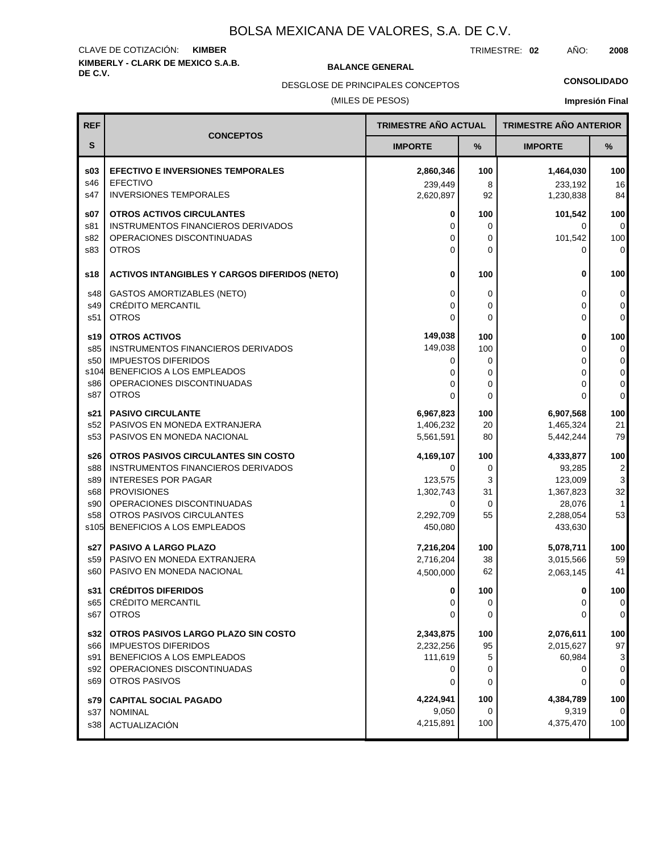# **KIMBERLY - CLARK DE MEXICO S.A.B.** CLAVE DE COTIZACIÓN: **KIMBER**

**BALANCE GENERAL** 

TRIMESTRE: **02** AÑO: **2008**

**CONSOLIDADO**

(MILES DE PESOS) DESGLOSE DE PRINCIPALES CONCEPTOS

| <b>REF</b>  |                                                                        | <b>TRIMESTRE AÑO ACTUAL</b> |                    | <b>TRIMESTRE AÑO ANTERIOR</b> |                          |
|-------------|------------------------------------------------------------------------|-----------------------------|--------------------|-------------------------------|--------------------------|
| $\mathbf S$ | <b>CONCEPTOS</b>                                                       | <b>IMPORTE</b>              | ℅                  | <b>IMPORTE</b>                | %                        |
| \$03        | <b>EFECTIVO E INVERSIONES TEMPORALES</b>                               | 2,860,346                   | 100                | 1,464,030                     | 100                      |
| s46         | EFECTIVO                                                               | 239.449                     | 8                  | 233,192                       | 16                       |
| s47         | <b>INVERSIONES TEMPORALES</b>                                          | 2,620,897                   | 92                 | 1,230,838                     | 84                       |
| s07<br>s81  | <b>OTROS ACTIVOS CIRCULANTES</b><br>INSTRUMENTOS FINANCIEROS DERIVADOS | 0<br>0                      | 100<br>$\mathbf 0$ | 101,542<br>0                  | 100<br>$\mathbf 0$       |
| s82         | OPERACIONES DISCONTINUADAS                                             | $\Omega$                    | 0                  | 101,542                       | 100                      |
| s83         | <b>OTROS</b>                                                           | $\Omega$                    | $\Omega$           | 0                             | $\mathbf 0$              |
| s18         | <b>ACTIVOS INTANGIBLES Y CARGOS DIFERIDOS (NETO)</b>                   | 0                           | 100                | $\bf{0}$                      | 100                      |
| s48         | <b>GASTOS AMORTIZABLES (NETO)</b>                                      | 0                           | 0                  | $\Omega$                      | $\pmb{0}$                |
| s49         | <b>CRÉDITO MERCANTIL</b>                                               | 0                           | 0                  | $\mathbf{0}$                  | $\mathbf 0$              |
| s51         | <b>OTROS</b>                                                           | $\mathbf 0$                 | $\Omega$           | 0                             | $\mathbf 0$              |
| s19         | <b>OTROS ACTIVOS</b>                                                   | 149,038                     | 100                | 0                             | 100                      |
| s85         | <b>INSTRUMENTOS FINANCIEROS DERIVADOS</b>                              | 149,038                     | 100                | 0                             | 0                        |
| s50<br>s104 | <b>IMPUESTOS DIFERIDOS</b><br>BENEFICIOS A LOS EMPLEADOS               | 0<br>$\Omega$               | 0<br>0             | 0<br>0                        | $\pmb{0}$<br>$\mathbf 0$ |
| s86         | OPERACIONES DISCONTINUADAS                                             | 0                           | $\mathbf 0$        | $\Omega$                      | $\pmb{0}$                |
| s87         | <b>OTROS</b>                                                           | $\Omega$                    | 0                  | 0                             | $\mathbf 0$              |
| s21         | <b>PASIVO CIRCULANTE</b>                                               | 6,967,823                   | 100                | 6,907,568                     | 100                      |
| s52         | PASIVOS EN MONEDA EXTRANJERA                                           | 1,406,232                   | 20                 | 1,465,324                     | 21                       |
| s53         | PASIVOS EN MONEDA NACIONAL                                             | 5,561,591                   | 80                 | 5,442,244                     | 79                       |
| s26         | OTROS PASIVOS CIRCULANTES SIN COSTO                                    | 4,169,107                   | 100                | 4,333,877                     | 100                      |
| s88         | INSTRUMENTOS FINANCIEROS DERIVADOS                                     | 0                           | 0                  | 93,285                        | $\overline{2}$           |
| s89<br>s68  | <b>INTERESES POR PAGAR</b><br><b>PROVISIONES</b>                       | 123,575<br>1,302,743        | 3<br>31            | 123,009<br>1,367,823          | 3<br>32                  |
| s90         | OPERACIONES DISCONTINUADAS                                             | 0                           | $\mathbf 0$        | 28,076                        | $\mathbf{1}$             |
| s58         | OTROS PASIVOS CIRCULANTES                                              | 2,292,709                   | 55                 | 2,288,054                     | 53                       |
| s105        | BENEFICIOS A LOS EMPLEADOS                                             | 450,080                     |                    | 433,630                       |                          |
| s27         | <b>PASIVO A LARGO PLAZO</b>                                            | 7,216,204                   | 100                | 5,078,711                     | 100                      |
| s59         | PASIVO EN MONEDA EXTRANJERA                                            | 2,716,204                   | 38                 | 3,015,566                     | 59                       |
| s60         | PASIVO EN MONEDA NACIONAL                                              | 4,500,000                   | 62                 | 2,063,145                     | 41                       |
| s31         | <b>CRÉDITOS DIFERIDOS</b>                                              | $\mathbf{0}$                | 100                | 0                             | 100                      |
| s65         | <b>CRÉDITO MERCANTIL</b>                                               | 0                           | 0                  | 0                             | 0                        |
| s67         | <b>OTROS</b>                                                           | $\mathbf 0$                 | 0                  | 0                             | $\mathbf 0$              |
| s32         | OTROS PASIVOS LARGO PLAZO SIN COSTO                                    | 2,343,875                   | 100                | 2,076,611                     | 100                      |
| s66         | <b>IMPUESTOS DIFERIDOS</b>                                             | 2,232,256                   | 95                 | 2,015,627                     | 97                       |
| s91         | BENEFICIOS A LOS EMPLEADOS<br>OPERACIONES DISCONTINUADAS               | 111,619                     | 5                  | 60,984                        | 3                        |
| s92<br>s69  | <b>OTROS PASIVOS</b>                                                   | 0<br>0                      | 0<br>$\mathbf 0$   | 0<br>$\mathbf 0$              | $\pmb{0}$<br>$\mathbf 0$ |
| s79         | <b>CAPITAL SOCIAL PAGADO</b>                                           | 4,224,941                   | 100                | 4,384,789                     | 100                      |
| s37         | <b>NOMINAL</b>                                                         | 9,050                       | 0                  | 9,319                         | $\mathbf 0$              |
| s38         | ACTUALIZACIÓN                                                          | 4,215,891                   | 100                | 4,375,470                     | 100                      |
|             |                                                                        |                             |                    |                               |                          |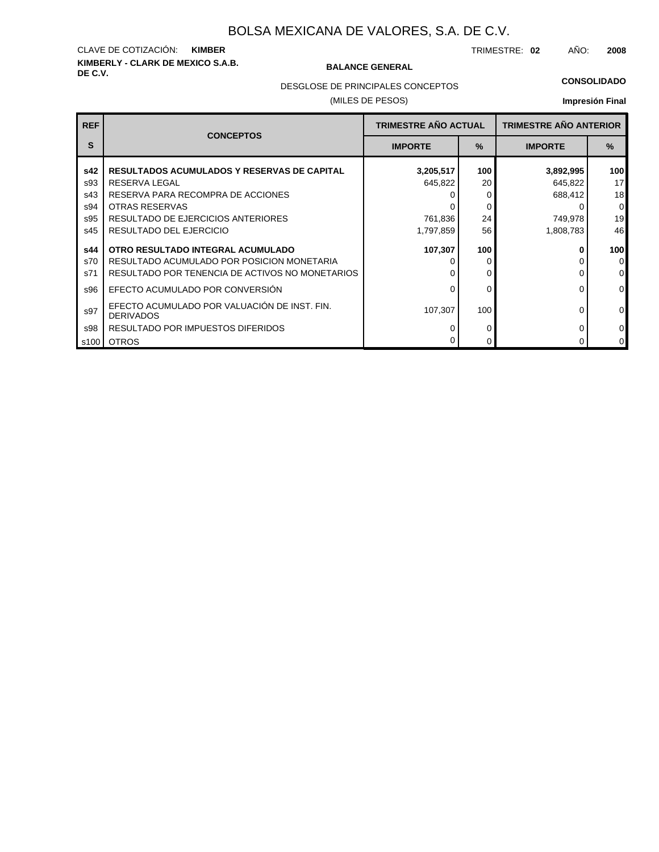# **KIMBERLY - CLARK DE MEXICO S.A.B.** CLAVE DE COTIZACIÓN: **KIMBER**

### **BALANCE GENERAL**

TRIMESTRE: **02** AÑO: **2008**

DESGLOSE DE PRINCIPALES CONCEPTOS

## (MILES DE PESOS)

## **CONSOLIDADO**

| <b>REF</b> | <b>CONCEPTOS</b>                                                 | <b>TRIMESTRE AÑO ACTUAL</b> |      | <b>TRIMESTRE AÑO ANTERIOR</b> |                  |
|------------|------------------------------------------------------------------|-----------------------------|------|-------------------------------|------------------|
| S          |                                                                  | <b>IMPORTE</b>              | $\%$ | <b>IMPORTE</b>                | $\frac{9}{6}$    |
| s42        | <b>RESULTADOS ACUMULADOS Y RESERVAS DE CAPITAL</b>               | 3,205,517                   | 100  | 3,892,995                     | 100 <sub>l</sub> |
| s93        | RESERVA LEGAL                                                    | 645,822                     | 20   | 645,822                       | 17 <sup>1</sup>  |
| s43        | RESERVA PARA RECOMPRA DE ACCIONES                                |                             |      | 688,412                       | 18               |
| s94        | <b>OTRAS RESERVAS</b>                                            |                             |      |                               | $\overline{0}$   |
| s95        | <b>RESULTADO DE EJERCICIOS ANTERIORES</b>                        | 761,836                     | 24   | 749,978                       | 19               |
| s45        | RESULTADO DEL EJERCICIO                                          | 1,797,859                   | 56   | 1,808,783                     | 46               |
| s44        | OTRO RESULTADO INTEGRAL ACUMULADO                                | 107,307                     | 100  |                               | 100 <sub>l</sub> |
| s70        | RESULTADO ACUMULADO POR POSICION MONETARIA                       |                             |      |                               | $\overline{0}$   |
| s71        | RESULTADO POR TENENCIA DE ACTIVOS NO MONETARIOS                  |                             |      |                               | $\overline{0}$   |
| s96        | EFECTO ACUMULADO POR CONVERSIÓN                                  |                             |      | O                             | $\overline{0}$   |
| s97        | EFECTO ACUMULADO POR VALUACIÓN DE INST. FIN.<br><b>DERIVADOS</b> | 107.307                     | 100  | O                             | $\overline{0}$   |
| s98        | RESULTADO POR IMPUESTOS DIFERIDOS                                |                             |      | 0                             | $\overline{0}$   |
| $\sim$ 100 | <b>OTROS</b>                                                     |                             |      |                               | $\overline{0}$   |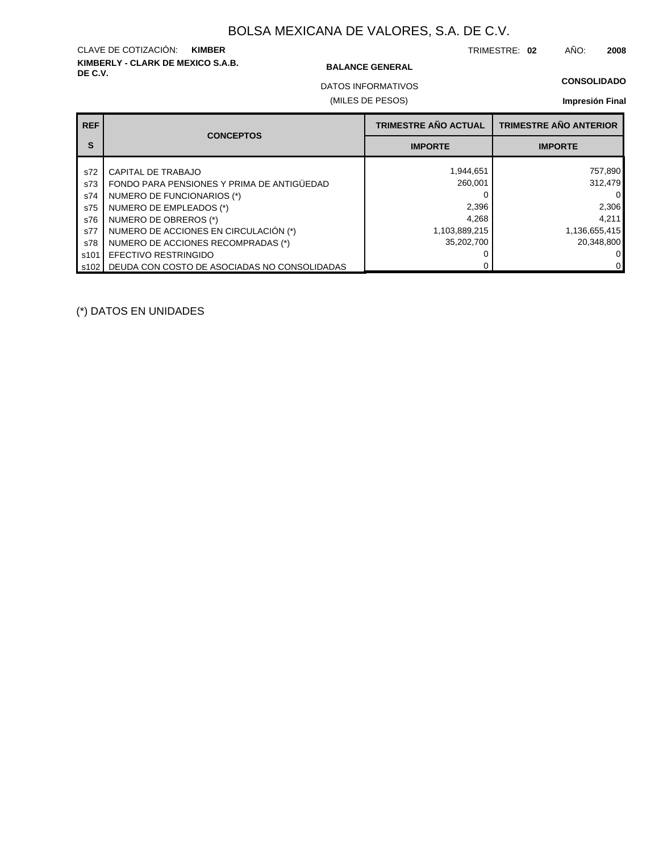# **KIMBERLY - CLARK DE MEXICO S.A.B.** CLAVE DE COTIZACIÓN: **KIMBER**

#### **BALANCE GENERAL**

TRIMESTRE: **02** AÑO: **2008**

### **CONSOLIDADO**

(MILES DE PESOS) DATOS INFORMATIVOS

## **Impresión Final**

| <b>REF</b> | <b>CONCEPTOS</b>                                    | <b>TRIMESTRE AÑO ACTUAL</b> | <b>TRIMESTRE AÑO ANTERIOR</b> |
|------------|-----------------------------------------------------|-----------------------------|-------------------------------|
| S          |                                                     | <b>IMPORTE</b>              | <b>IMPORTE</b>                |
| s72        | CAPITAL DE TRABAJO                                  | 1,944,651                   | 757,890                       |
| s73        | FONDO PARA PENSIONES Y PRIMA DE ANTIGÜEDAD          | 260,001                     | 312,479                       |
| s74        | NUMERO DE FUNCIONARIOS (*)                          |                             | 0                             |
| s75        | NUMERO DE EMPLEADOS (*)                             | 2,396                       | 2,306                         |
| s76        | NUMERO DE OBREROS (*)                               | 4.268                       | 4,211                         |
| s77        | NUMERO DE ACCIONES EN CIRCULACIÓN (*)               | 1,103,889,215               | 1,136,655,415                 |
| s78        | NUMERO DE ACCIONES RECOMPRADAS (*)                  | 35.202.700                  | 20,348,800                    |
| s101       | <b>EFECTIVO RESTRINGIDO</b>                         |                             | 0                             |
|            | s102   DEUDA CON COSTO DE ASOCIADAS NO CONSOLIDADAS |                             | 0                             |

(\*) DATOS EN UNIDADES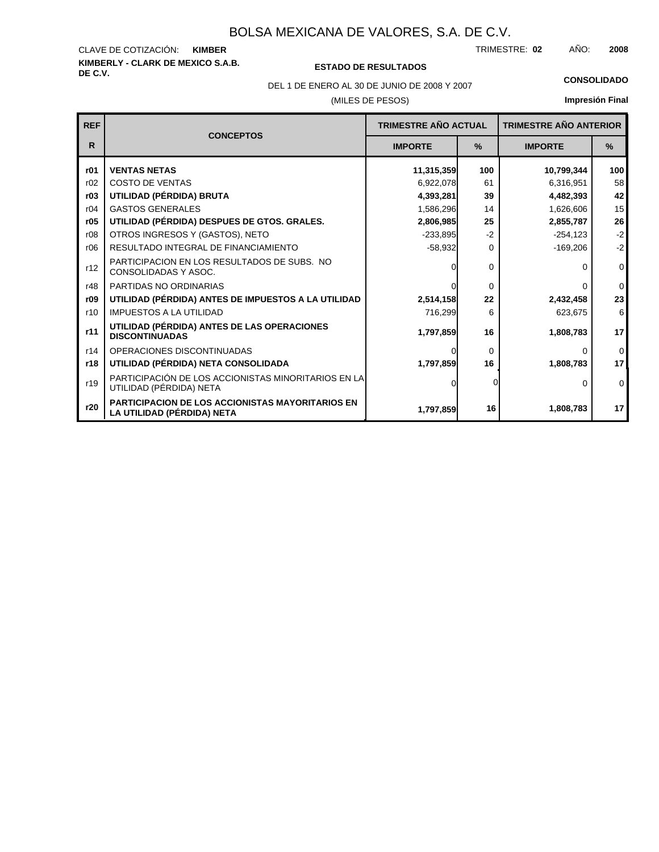#### **KIMBERLY - CLARK DE MEXICO S.A.B.** CLAVE DE COTIZACIÓN: TRIMESTRE: AÑO: **KIMBER 02 2008**

## **DE C.V. ESTADO DE RESULTADOS**

DEL 1 DE ENERO AL 30 DE JUNIO DE 2008 Y 2007 **CONSOLIDADO**

### (MILES DE PESOS)

| <b>REF</b> | <b>CONCEPTOS</b>                                                                      | <b>TRIMESTRE AÑO ACTUAL</b> |          | <b>TRIMESTRE AÑO ANTERIOR</b> |               |
|------------|---------------------------------------------------------------------------------------|-----------------------------|----------|-------------------------------|---------------|
| R          |                                                                                       | <b>IMPORTE</b>              | %        | <b>IMPORTE</b>                | $\frac{9}{6}$ |
| r01        | <b>VENTAS NETAS</b>                                                                   | 11,315,359                  | 100      | 10,799,344                    | 100           |
| r02        | <b>COSTO DE VENTAS</b>                                                                | 6,922,078                   | 61       | 6,316,951                     | 58            |
| r03        | UTILIDAD (PÉRDIDA) BRUTA                                                              | 4,393,281                   | 39       | 4,482,393                     | 42            |
| r04        | <b>GASTOS GENERALES</b>                                                               | 1,586,296                   | 14       | 1,626,606                     | 15            |
| r05        | UTILIDAD (PÉRDIDA) DESPUES DE GTOS. GRALES.                                           | 2,806,985                   | 25       | 2,855,787                     | 26            |
| r08        | OTROS INGRESOS Y (GASTOS), NETO                                                       | $-233,895$                  | $-2$     | $-254, 123$                   | $-2$          |
| r06        | RESULTADO INTEGRAL DE FINANCIAMIENTO                                                  | $-58,932$                   | 0        | $-169,206$                    | $-2$          |
| r12        | PARTICIPACION EN LOS RESULTADOS DE SUBS. NO<br>CONSOLIDADAS Y ASOC.                   |                             | 0        |                               | $\mathbf 0$   |
| r48        | PARTIDAS NO ORDINARIAS                                                                | <sup>0</sup>                | $\Omega$ | <sup>0</sup>                  | $\mathbf{0}$  |
| r09        | UTILIDAD (PÉRDIDA) ANTES DE IMPUESTOS A LA UTILIDAD                                   | 2,514,158                   | 22       | 2,432,458                     | 23            |
| r10        | <b>IMPUESTOS A LA UTILIDAD</b>                                                        | 716,299                     | 6        | 623,675                       | 6             |
| r11        | UTILIDAD (PÉRDIDA) ANTES DE LAS OPERACIONES<br><b>DISCONTINUADAS</b>                  | 1,797,859                   | 16       | 1,808,783                     | 17            |
| r14        | OPERACIONES DISCONTINUADAS                                                            |                             | $\Omega$ | ∩                             | $\Omega$      |
| r18        | UTILIDAD (PÉRDIDA) NETA CONSOLIDADA                                                   | 1,797,859                   | 16       | 1,808,783                     | 17            |
| r19        | PARTICIPACIÓN DE LOS ACCIONISTAS MINORITARIOS EN LA<br>UTILIDAD (PÉRDIDA) NETA        | 0                           |          | $\Omega$                      | $\Omega$      |
| r20        | <b>PARTICIPACION DE LOS ACCIONISTAS MAYORITARIOS EN</b><br>LA UTILIDAD (PÉRDIDA) NETA | 1,797,859                   | 16       | 1,808,783                     | 17            |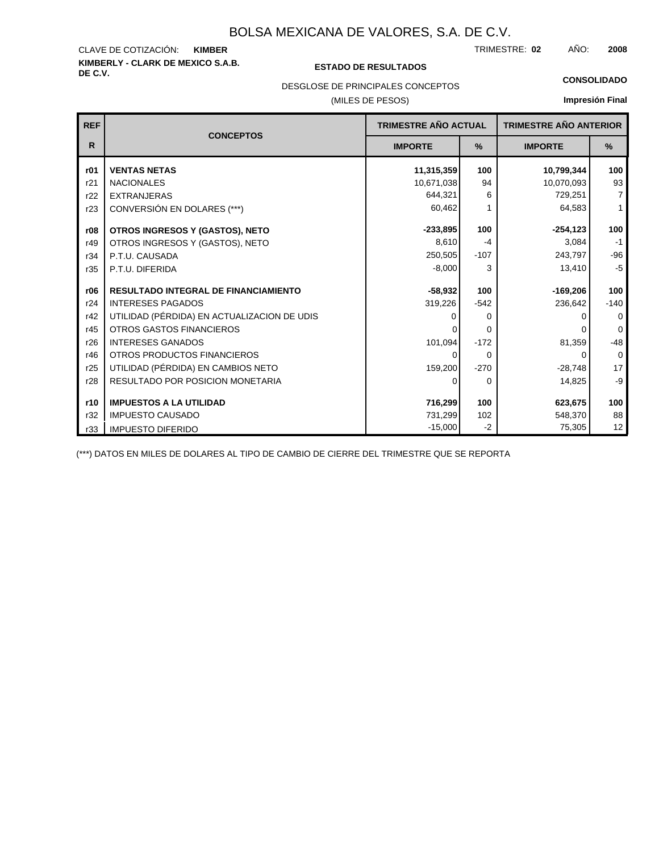#### **KIMBERLY - CLARK DE MEXICO S.A.B.** CLAVE DE COTIZACIÓN: TRIMESTRE: AÑO: **KIMBER 02 2008**

### **DE C.V. ESTADO DE RESULTADOS**

DESGLOSE DE PRINCIPALES CONCEPTOS

## (MILES DE PESOS)

#### **CONSOLIDADO**

**Impresión Final**

| <b>REF</b> | <b>CONCEPTOS</b>                            | <b>TRIMESTRE AÑO ACTUAL</b> |          | <b>TRIMESTRE AÑO ANTERIOR</b> |                |
|------------|---------------------------------------------|-----------------------------|----------|-------------------------------|----------------|
| R.         |                                             | <b>IMPORTE</b>              | %        | <b>IMPORTE</b>                | $\%$           |
| r01        | <b>VENTAS NETAS</b>                         | 11,315,359                  | 100      | 10,799,344                    | 100            |
| r21        | <b>NACIONALES</b>                           | 10,671,038                  | 94       | 10,070,093                    | 93             |
| r22        | <b>EXTRANJERAS</b>                          | 644,321                     | 6        | 729,251                       | $\overline{7}$ |
| r23        | CONVERSIÓN EN DOLARES (***)                 | 60,462                      |          | 64,583                        | $\mathbf{1}$   |
| r08        | OTROS INGRESOS Y (GASTOS), NETO             | $-233,895$                  | 100      | $-254, 123$                   | 100            |
| r49        | OTROS INGRESOS Y (GASTOS), NETO             | 8,610                       | -4       | 3,084                         | $-1$           |
| r34        | P.T.U. CAUSADA                              | 250,505                     | $-107$   | 243,797                       | $-96$          |
| r35        | P.T.U. DIFERIDA                             | $-8,000$                    | 3        | 13,410                        | $-5$           |
| r06        | <b>RESULTADO INTEGRAL DE FINANCIAMIENTO</b> | $-58,932$                   | 100      | $-169,206$                    | 100            |
| r24        | <b>INTERESES PAGADOS</b>                    | 319,226                     | $-542$   | 236,642                       | $-140$         |
| r42        | UTILIDAD (PÉRDIDA) EN ACTUALIZACION DE UDIS |                             | $\Omega$ | O                             | $\Omega$       |
| r45        | OTROS GASTOS FINANCIEROS                    |                             | $\Omega$ |                               | $\Omega$       |
| r26        | <b>INTERESES GANADOS</b>                    | 101,094                     | $-172$   | 81,359                        | $-48$          |
| r46        | OTROS PRODUCTOS FINANCIEROS                 | 0                           | $\Omega$ | 0                             | $\mathbf 0$    |
| r25        | UTILIDAD (PÉRDIDA) EN CAMBIOS NETO          | 159,200                     | $-270$   | $-28,748$                     | 17             |
| r28        | <b>RESULTADO POR POSICION MONETARIA</b>     | 0                           | $\Omega$ | 14,825                        | -9             |
| r10        | <b>IMPUESTOS A LA UTILIDAD</b>              | 716,299                     | 100      | 623,675                       | 100            |
| r32        | <b>IMPUESTO CAUSADO</b>                     | 731,299                     | 102      | 548,370                       | 88             |
| r33        | <b>IMPUESTO DIFERIDO</b>                    | $-15,000$                   | $-2$     | 75,305                        | 12             |

(\*\*\*) DATOS EN MILES DE DOLARES AL TIPO DE CAMBIO DE CIERRE DEL TRIMESTRE QUE SE REPORTA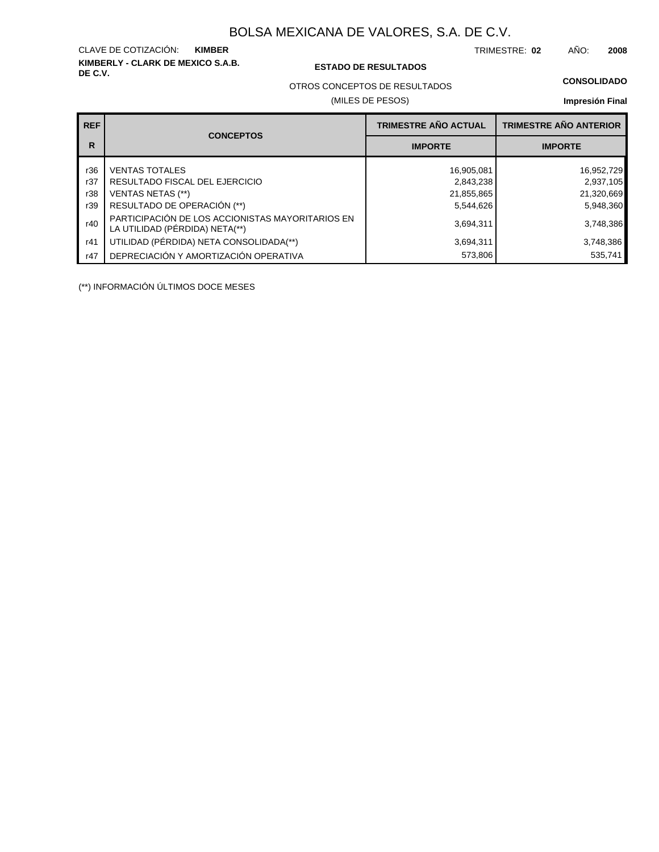# **KIMBERLY - CLARK DE MEXICO S.A.B.** CLAVE DE COTIZACIÓN:

### **DE C.V. ESTADO DE RESULTADOS**

TRIMESTRE: AÑO: **KIMBER 02 2008**

#### **CONSOLIDADO**

OTROS CONCEPTOS DE RESULTADOS

## (MILES DE PESOS)

### **Impresión Final**

| <b>REF</b> | <b>CONCEPTOS</b>                                                                   | <b>TRIMESTRE AÑO ACTUAL</b> | <b>TRIMESTRE AÑO ANTERIOR</b> |
|------------|------------------------------------------------------------------------------------|-----------------------------|-------------------------------|
| R          |                                                                                    | <b>IMPORTE</b>              | <b>IMPORTE</b>                |
| r36        | <b>VENTAS TOTALES</b>                                                              | 16,905,081                  | 16,952,729                    |
| r37        | RESULTADO FISCAL DEL EJERCICIO                                                     | 2,843,238                   | 2,937,105                     |
| r38        | <b>VENTAS NETAS (**)</b>                                                           | 21,855,865                  | 21,320,669                    |
| r39        | RESULTADO DE OPERACIÓN (**)                                                        | 5,544,626                   | 5,948,360                     |
| r40        | PARTICIPACIÓN DE LOS ACCIONISTAS MAYORITARIOS EN<br>LA UTILIDAD (PÉRDIDA) NETA(**) | 3,694,311                   | 3,748,386                     |
| r41        | UTILIDAD (PÉRDIDA) NETA CONSOLIDADA(**)                                            | 3,694,311                   | 3,748,386                     |
| r47        | DEPRECIACIÓN Y AMORTIZACIÓN OPERATIVA                                              | 573,806                     | 535.741                       |

(\*\*) INFORMACIÓN ÚLTIMOS DOCE MESES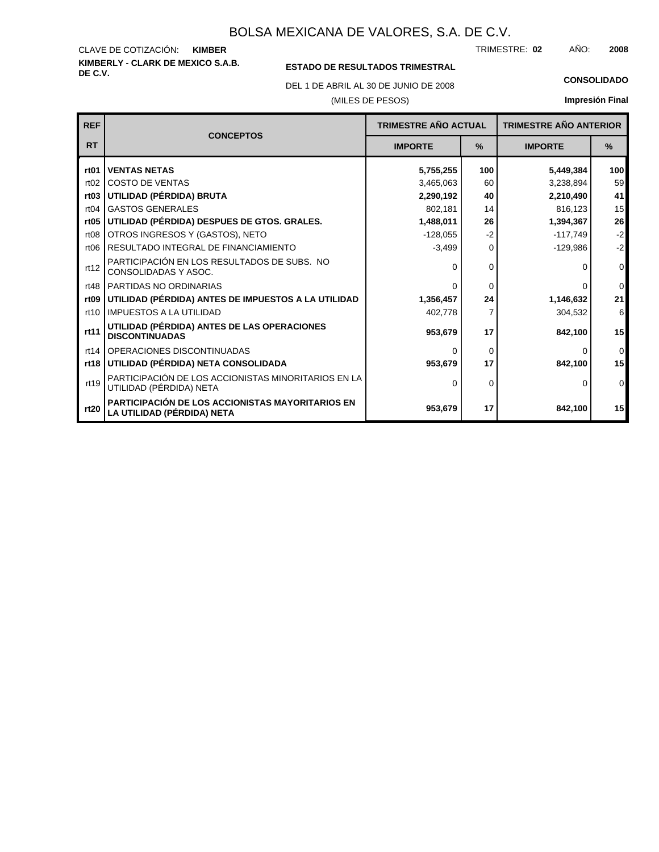**KIMBERLY - CLARK DE MEXICO S.A.B.** CLAVE DE COTIZACIÓN: TRIMESTRE: AÑO: **KIMBER 02 2008**

## **ESTADO DE RESULTADOS TRIMESTRAL**

DEL 1 DE ABRIL AL 30 DE JUNIO DE 2008 **CONSOLIDADO**

### (MILES DE PESOS)

| <b>REF</b>       | <b>CONCEPTOS</b>                                                               | TRIMESTRE AÑO ACTUAL |          | <b>TRIMESTRE AÑO ANTERIOR</b> |                  |
|------------------|--------------------------------------------------------------------------------|----------------------|----------|-------------------------------|------------------|
| <b>RT</b>        |                                                                                | <b>IMPORTE</b>       | %        | <b>IMPORTE</b>                | $\frac{9}{6}$    |
| rt <sub>01</sub> | <b>VENTAS NETAS</b>                                                            | 5,755,255            | 100      | 5,449,384                     | 100 <sub>l</sub> |
| rt02             | <b>COSTO DE VENTAS</b>                                                         | 3,465,063            | 60       | 3,238,894                     | 59               |
| rt <sub>03</sub> | UTILIDAD (PÉRDIDA) BRUTA                                                       | 2,290,192            | 40       | 2,210,490                     | 41               |
| rt04             | <b>GASTOS GENERALES</b>                                                        | 802,181              | 14       | 816,123                       | 15               |
| rt <sub>05</sub> | UTILIDAD (PÉRDIDA) DESPUES DE GTOS. GRALES.                                    | 1,488,011            | 26       | 1,394,367                     | 26               |
| rt <sub>08</sub> | OTROS INGRESOS Y (GASTOS), NETO                                                | $-128,055$           | $-2$     | $-117,749$                    | $-2$             |
| rt06             | RESULTADO INTEGRAL DE FINANCIAMIENTO                                           | $-3,499$             | $\Omega$ | $-129,986$                    | $-2$             |
| rt12             | PARTICIPACIÓN EN LOS RESULTADOS DE SUBS. NO<br>CONSOLIDADAS Y ASOC.            | $\Omega$             | 0        | 0                             | $\overline{0}$   |
| rt48             | PARTIDAS NO ORDINARIAS                                                         | O                    | $\Omega$ | O                             | $\overline{0}$   |
| rt <sub>09</sub> | UTILIDAD (PÉRDIDA) ANTES DE IMPUESTOS A LA UTILIDAD                            | 1,356,457            | 24       | 1,146,632                     | 21               |
| rt10             | <b>IMPUESTOS A LA UTILIDAD</b>                                                 | 402,778              | 7        | 304,532                       | $6 \mid$         |
| rt11             | UTILIDAD (PÉRDIDA) ANTES DE LAS OPERACIONES<br><b>DISCONTINUADAS</b>           | 953,679              | 17       | 842,100                       | 15 <sup>1</sup>  |
| rt14             | OPERACIONES DISCONTINUADAS                                                     | $\Omega$             | 0        | 0                             | $\overline{0}$   |
| rt18             | UTILIDAD (PÉRDIDA) NETA CONSOLIDADA                                            | 953,679              | 17       | 842,100                       | 15               |
| rt19             | PARTICIPACIÓN DE LOS ACCIONISTAS MINORITARIOS EN LA<br>UTILIDAD (PÉRDIDA) NETA | O                    | 0        |                               | $\overline{0}$   |
| rt20             | PARTICIPACIÓN DE LOS ACCIONISTAS MAYORITARIOS EN<br>LA UTILIDAD (PÉRDIDA) NETA | 953,679              | 17       | 842,100                       | 15               |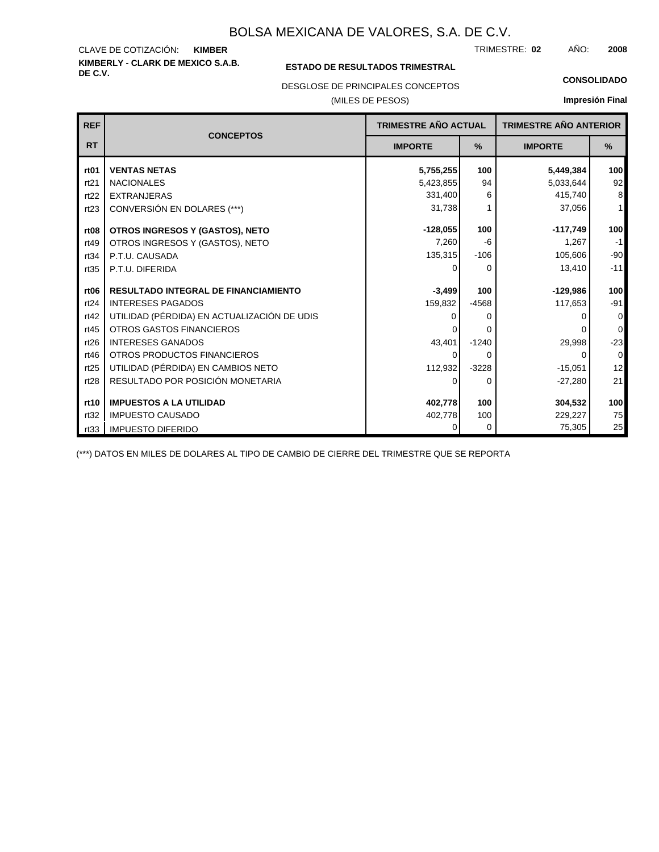**KIMBERLY - CLARK DE MEXICO S.A.B.** CLAVE DE COTIZACIÓN: TRIMESTRE: AÑO: **KIMBER 02 2008**

## **ESTADO DE RESULTADOS TRIMESTRAL**

DESGLOSE DE PRINCIPALES CONCEPTOS

### (MILES DE PESOS)

**CONSOLIDADO**

**Impresión Final**

| <b>REF</b>       | <b>TRIMESTRE AÑO ACTUAL</b><br><b>CONCEPTOS</b> |                | <b>TRIMESTRE AÑO ANTERIOR</b> |                |                  |
|------------------|-------------------------------------------------|----------------|-------------------------------|----------------|------------------|
| <b>RT</b>        |                                                 | <b>IMPORTE</b> | %                             | <b>IMPORTE</b> | %                |
| rt <sub>01</sub> | <b>VENTAS NETAS</b>                             | 5,755,255      | 100                           | 5,449,384      | 100 <sup>1</sup> |
| rt21             | <b>NACIONALES</b>                               | 5,423,855      | 94                            | 5,033,644      | 92               |
| rt22             | <b>EXTRANJERAS</b>                              | 331,400        | 6                             | 415,740        | 8                |
| rt23             | CONVERSIÓN EN DOLARES (***)                     | 31,738         |                               | 37,056         | $\mathbf{1}$     |
| rt <sub>08</sub> | OTROS INGRESOS Y (GASTOS), NETO                 | $-128,055$     | 100                           | $-117,749$     | 100              |
| rt49             | OTROS INGRESOS Y (GASTOS), NETO                 | 7,260          | -6                            | 1.267          | $-1$             |
| rt34             | P.T.U. CAUSADA                                  | 135,315        | $-106$                        | 105,606        | $-90$            |
| rt35             | P.T.U. DIFERIDA                                 | 0              | 0                             | 13,410         | $-11$            |
| rt <sub>06</sub> | <b>RESULTADO INTEGRAL DE FINANCIAMIENTO</b>     | $-3,499$       | 100                           | $-129,986$     | 100              |
| rt24             | <b>INTERESES PAGADOS</b>                        | 159,832        | $-4568$                       | 117,653        | $-91$            |
| rt42             | UTILIDAD (PÉRDIDA) EN ACTUALIZACIÓN DE UDIS     | $\Omega$       | 0                             |                | $\overline{0}$   |
| rt45             | OTROS GASTOS FINANCIEROS                        |                | 0                             |                | $\overline{0}$   |
| rt26             | <b>INTERESES GANADOS</b>                        | 43,401         | $-1240$                       | 29,998         | $-23$            |
| rt46             | OTROS PRODUCTOS FINANCIEROS                     | 0              | 0                             | 0              | $\overline{0}$   |
| rt25             | UTILIDAD (PÉRDIDA) EN CAMBIOS NETO              | 112,932        | $-3228$                       | $-15,051$      | 12               |
| rt28             | RESULTADO POR POSICIÓN MONETARIA                | 0              | 0                             | $-27,280$      | 21               |
| rt10             | <b>IMPUESTOS A LA UTILIDAD</b>                  | 402,778        | 100                           | 304,532        | 100              |
| rt32             | <b>IMPUESTO CAUSADO</b>                         | 402,778        | 100                           | 229,227        | 75               |
| rt33             | <b>IMPUESTO DIFERIDO</b>                        | 0              | 0                             | 75,305         | 25               |

(\*\*\*) DATOS EN MILES DE DOLARES AL TIPO DE CAMBIO DE CIERRE DEL TRIMESTRE QUE SE REPORTA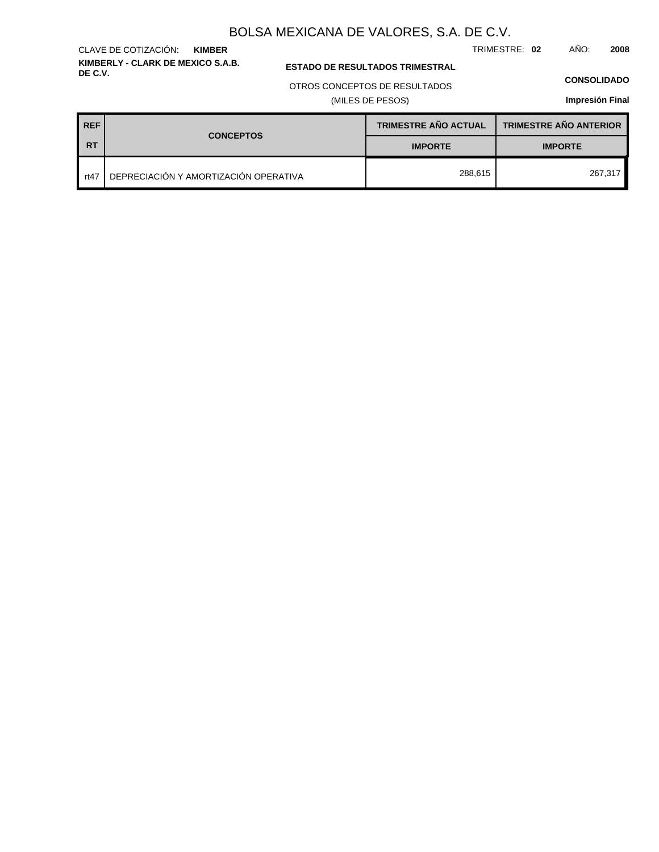TRIMESTRE: **02** AÑO: **2008**

### **ESTADO DE RESULTADOS TRIMESTRAL**

OTROS CONCEPTOS DE RESULTADOS

(MILES DE PESOS)

**KIMBERLY - CLARK DE MEXICO S.A.B.**

**KIMBER**

CLAVE DE COTIZACIÓN:

#### **CONSOLIDADO**

| <b>REF</b> | <b>CONCEPTOS</b>                      | <b>TRIMESTRE AÑO ACTUAL</b> | <b>TRIMESTRE AÑO ANTERIOR</b> |  |
|------------|---------------------------------------|-----------------------------|-------------------------------|--|
| <b>RT</b>  |                                       | <b>IMPORTE</b>              | <b>IMPORTE</b>                |  |
| rt47       | DEPRECIACIÓN Y AMORTIZACIÓN OPERATIVA | 288,615                     | 267,317                       |  |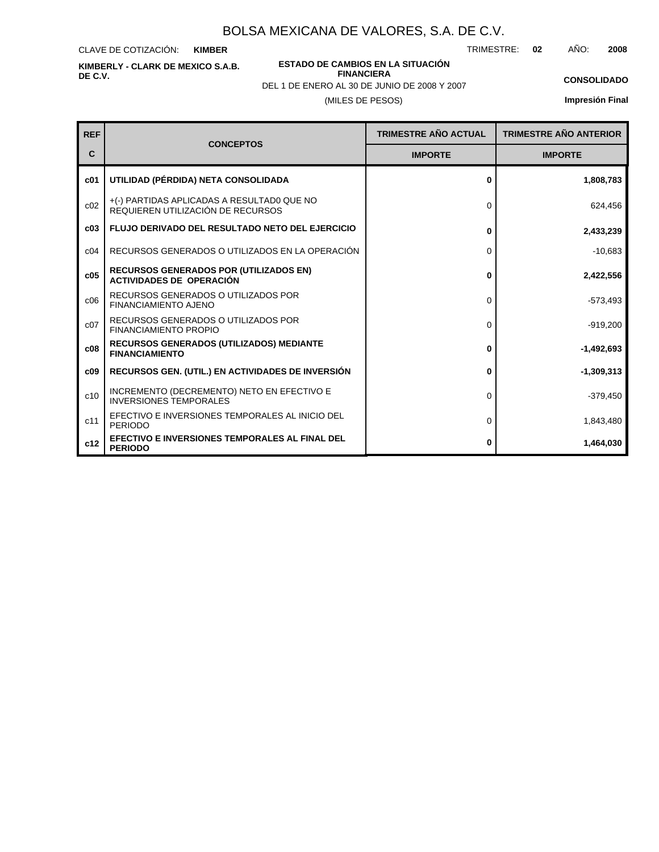CLAVE DE COTIZACIÓN: **KIMBER**

**KIMBERLY - CLARK DE MEXICO S.A.B. DE C.V.**

**ESTADO DE CAMBIOS EN LA SITUACIÓN FINANCIERA**

TRIMESTRE: **02** AÑO: **2008**

**CONSOLIDADO Impresión Final**

(MILES DE PESOS) DEL 1 DE ENERO AL 30 DE JUNIO DE 2008 Y 2007

| <b>REF</b>      |                                                                                  | <b>TRIMESTRE AÑO ACTUAL</b> | <b>TRIMESTRE AÑO ANTERIOR</b> |  |
|-----------------|----------------------------------------------------------------------------------|-----------------------------|-------------------------------|--|
| C               | <b>CONCEPTOS</b>                                                                 | <b>IMPORTE</b>              | <b>IMPORTE</b>                |  |
| c <sub>01</sub> | UTILIDAD (PÉRDIDA) NETA CONSOLIDADA                                              | 0                           | 1,808,783                     |  |
| c <sub>02</sub> | +(-) PARTIDAS APLICADAS A RESULTADO QUE NO<br>REQUIEREN UTILIZACIÓN DE RECURSOS  | 0                           | 624,456                       |  |
| c03             | <b>FLUJO DERIVADO DEL RESULTADO NETO DEL EJERCICIO</b>                           | 0                           | 2,433,239                     |  |
| c04             | RECURSOS GENERADOS O UTILIZADOS EN LA OPERACIÓN                                  | 0                           | $-10.683$                     |  |
| c05             | <b>RECURSOS GENERADOS POR (UTILIZADOS EN)</b><br><b>ACTIVIDADES DE OPERACIÓN</b> | 0                           | 2,422,556                     |  |
| c06             | RECURSOS GENERADOS O UTILIZADOS POR<br><b>FINANCIAMIENTO AJENO</b>               | 0                           | $-573,493$                    |  |
| c07             | RECURSOS GENERADOS O UTILIZADOS POR<br><b>FINANCIAMIENTO PROPIO</b>              | 0                           | $-919,200$                    |  |
| c08             | <b>RECURSOS GENERADOS (UTILIZADOS) MEDIANTE</b><br><b>FINANCIAMIENTO</b>         | 0                           | $-1,492,693$                  |  |
| c09             | RECURSOS GEN. (UTIL.) EN ACTIVIDADES DE INVERSIÓN                                | 0                           | $-1,309,313$                  |  |
| c10             | INCREMENTO (DECREMENTO) NETO EN EFECTIVO E<br><b>INVERSIONES TEMPORALES</b>      | 0                           | $-379,450$                    |  |
| c11             | EFECTIVO E INVERSIONES TEMPORALES AL INICIO DEL<br><b>PERIODO</b>                | 0                           | 1,843,480                     |  |
| c12             | EFECTIVO E INVERSIONES TEMPORALES AL FINAL DEL<br><b>PERIODO</b>                 | 0                           | 1,464,030                     |  |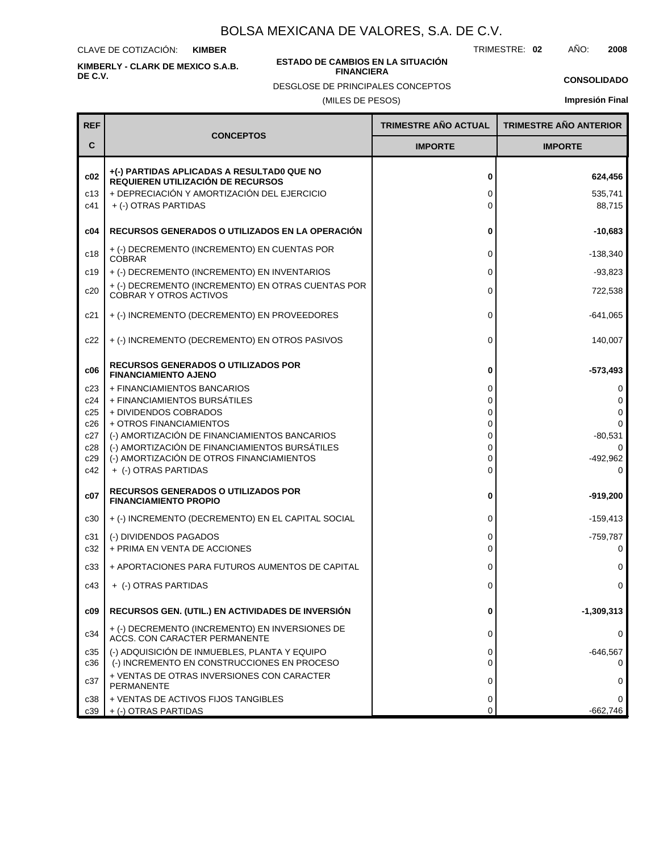CLAVE DE COTIZACIÓN: **KIMBER**

**KIMBERLY - CLARK DE MEXICO S.A.B. DE C.V.**

#### **ESTADO DE CAMBIOS EN LA SITUACIÓN FINANCIERA**

DESGLOSE DE PRINCIPALES CONCEPTOS

TRIMESTRE: **02** AÑO: **2008**

**CONSOLIDADO**

(MILES DE PESOS)

| <b>REF</b>        |                                                                                                                                                        | TRIMESTRE AÑO ACTUAL | <b>TRIMESTRE AÑO ANTERIOR</b> |
|-------------------|--------------------------------------------------------------------------------------------------------------------------------------------------------|----------------------|-------------------------------|
| C                 | <b>CONCEPTOS</b>                                                                                                                                       | <b>IMPORTE</b>       | <b>IMPORTE</b>                |
| c02<br>c13<br>c41 | +(-) PARTIDAS APLICADAS A RESULTADO QUE NO<br>REQUIEREN UTILIZACIÓN DE RECURSOS<br>+ DEPRECIACIÓN Y AMORTIZACIÓN DEL EJERCICIO<br>+ (-) OTRAS PARTIDAS | 0<br>0<br>0          | 624,456<br>535,741<br>88,715  |
| c04               | RECURSOS GENERADOS O UTILIZADOS EN LA OPERACIÓN                                                                                                        | 0                    | $-10,683$                     |
| c18               | + (-) DECREMENTO (INCREMENTO) EN CUENTAS POR<br><b>COBRAR</b>                                                                                          | 0                    | $-138,340$                    |
| c19               | + (-) DECREMENTO (INCREMENTO) EN INVENTARIOS                                                                                                           | 0                    | $-93,823$                     |
| c20               | + (-) DECREMENTO (INCREMENTO) EN OTRAS CUENTAS POR<br>COBRAR Y OTROS ACTIVOS                                                                           | 0                    | 722,538                       |
| c21               | + (-) INCREMENTO (DECREMENTO) EN PROVEEDORES                                                                                                           | 0                    | $-641,065$                    |
| c22               | + (-) INCREMENTO (DECREMENTO) EN OTROS PASIVOS                                                                                                         | 0                    | 140,007                       |
| c06               | <b>RECURSOS GENERADOS O UTILIZADOS POR</b><br><b>FINANCIAMIENTO AJENO</b>                                                                              | 0                    | $-573,493$                    |
| c23               | + FINANCIAMIENTOS BANCARIOS                                                                                                                            | 0                    | 0                             |
| c24               | + FINANCIAMIENTOS BURSÁTILES<br>+ DIVIDENDOS COBRADOS                                                                                                  | 0<br>0               | 0<br>0                        |
| c25<br>c26        | + OTROS FINANCIAMIENTOS                                                                                                                                | 0                    | 0                             |
| c27               | (-) AMORTIZACIÓN DE FINANCIAMIENTOS BANCARIOS                                                                                                          | 0                    | $-80,531$                     |
| c28               | (-) AMORTIZACIÓN DE FINANCIAMIENTOS BURSÁTILES                                                                                                         | 0                    | $\Omega$                      |
| c29<br>c42        | (-) AMORTIZACIÓN DE OTROS FINANCIAMIENTOS<br>+ (-) OTRAS PARTIDAS                                                                                      | 0<br>0               | $-492,962$<br>0               |
| c07               | <b>RECURSOS GENERADOS O UTILIZADOS POR</b><br><b>FINANCIAMIENTO PROPIO</b>                                                                             | 0                    | $-919,200$                    |
| c30               | + (-) INCREMENTO (DECREMENTO) EN EL CAPITAL SOCIAL                                                                                                     | 0                    | -159,413                      |
| c31               | (-) DIVIDENDOS PAGADOS                                                                                                                                 | 0                    | $-759,787$                    |
| c32               | + PRIMA EN VENTA DE ACCIONES                                                                                                                           | 0                    | 0                             |
| c33               | + APORTACIONES PARA FUTUROS AUMENTOS DE CAPITAL                                                                                                        | 0                    | 0                             |
| c43               | + (-) OTRAS PARTIDAS                                                                                                                                   | 0                    | 0                             |
| c09               | <b>RECURSOS GEN. (UTIL.) EN ACTIVIDADES DE INVERSIÓN</b>                                                                                               | 0                    | $-1,309,313$                  |
| c34               | + (-) DECREMENTO (INCREMENTO) EN INVERSIONES DE<br>ACCS. CON CARACTER PERMANENTE                                                                       | 0                    | 0                             |
| c35<br>c36        | (-) ADQUISICIÓN DE INMUEBLES, PLANTA Y EQUIPO<br>(-) INCREMENTO EN CONSTRUCCIONES EN PROCESO                                                           | 0<br>0               | -646,567<br>0                 |
| c37               | + VENTAS DE OTRAS INVERSIONES CON CARACTER<br>PERMANENTE                                                                                               | 0                    | 0                             |
| c38               | + VENTAS DE ACTIVOS FIJOS TANGIBLES                                                                                                                    | 0                    | 0                             |
| c39               | + (-) OTRAS PARTIDAS                                                                                                                                   | 0                    | $-662,746$                    |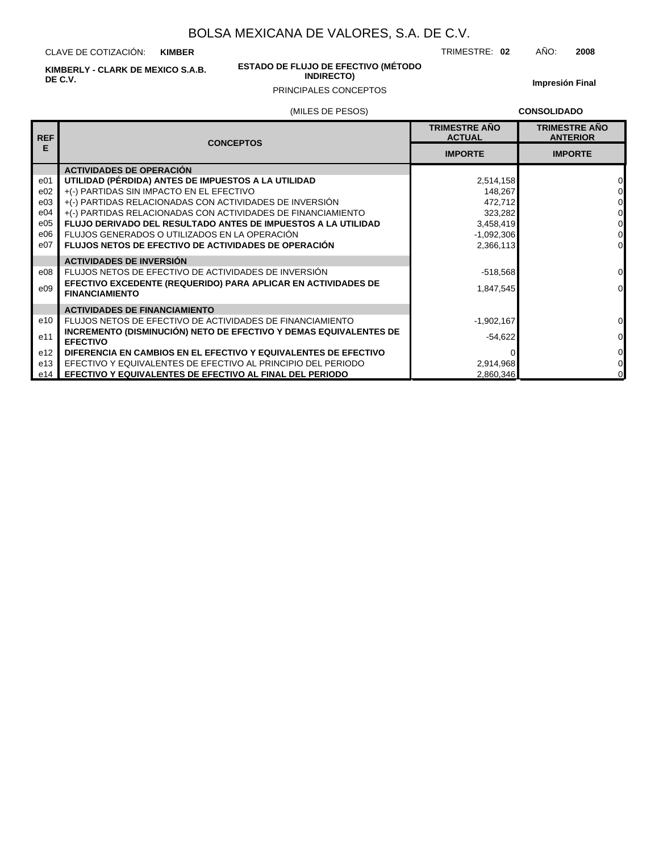CLAVE DE COTIZACIÓN: **KIMBER**

**KIMBERLY - CLARK DE MEXICO S.A.B. DE C.V.**

# **ESTADO DE FLUJO DE EFECTIVO (MÉTODO**

**INDIRECTO)**

**Impresión Final**

TRIMESTRE: **02** AÑO: **2008**

#### PRINCIPALES CONCEPTOS

|                 | (MILES DE PESOS)                                                                       |                                       | <b>CONSOLIDADO</b>                      |
|-----------------|----------------------------------------------------------------------------------------|---------------------------------------|-----------------------------------------|
| <b>REF</b>      | <b>CONCEPTOS</b>                                                                       | <b>TRIMESTRE AÑO</b><br><b>ACTUAL</b> | <b>TRIMESTRE AÑO</b><br><b>ANTERIOR</b> |
| Е               |                                                                                        | <b>IMPORTE</b>                        | <b>IMPORTE</b>                          |
|                 | <b>ACTIVIDADES DE OPERACIÓN</b>                                                        |                                       |                                         |
| e01             | UTILIDAD (PÉRDIDA) ANTES DE IMPUESTOS A LA UTILIDAD                                    | 2,514,158                             | $\overline{0}$                          |
| e02             | +(-) PARTIDAS SIN IMPACTO EN EL EFECTIVO                                               | 148,267                               | $\overline{0}$                          |
| e03             | +(-) PARTIDAS RELACIONADAS CON ACTIVIDADES DE INVERSIÓN                                | 472,712                               | $\overline{0}$                          |
| e04             | +(-) PARTIDAS RELACIONADAS CON ACTIVIDADES DE FINANCIAMIENTO                           | 323,282                               | $\overline{0}$                          |
| e05             | <b>FLUJO DERIVADO DEL RESULTADO ANTES DE IMPUESTOS A LA UTILIDAD</b>                   | 3,458,419                             | $\overline{0}$                          |
| e06             | FLUJOS GENERADOS O UTILIZADOS EN LA OPERACIÓN                                          | $-1,092,306$                          | $\overline{0}$                          |
| e07             | <b>FLUJOS NETOS DE EFECTIVO DE ACTIVIDADES DE OPERACIÓN</b>                            | 2,366,113                             | $\Omega$                                |
|                 | <b>ACTIVIDADES DE INVERSIÓN</b>                                                        |                                       |                                         |
| e08             | FLUJOS NETOS DE EFECTIVO DE ACTIVIDADES DE INVERSIÓN                                   | $-518,568$                            | $\overline{0}$                          |
| e09             | EFECTIVO EXCEDENTE (REQUERIDO) PARA APLICAR EN ACTIVIDADES DE<br><b>FINANCIAMIENTO</b> | 1,847,545                             | $\overline{0}$                          |
|                 | <b>ACTIVIDADES DE FINANCIAMIENTO</b>                                                   |                                       |                                         |
| e10             | FLUJOS NETOS DE EFECTIVO DE ACTIVIDADES DE FINANCIAMIENTO                              | $-1,902,167$                          | $\overline{0}$                          |
| e11             | INCREMENTO (DISMINUCIÓN) NETO DE EFECTIVO Y DEMAS EQUIVALENTES DE<br><b>EFECTIVO</b>   | $-54,622$                             | $\Omega$                                |
| e <sub>12</sub> | DIFERENCIA EN CAMBIOS EN EL EFECTIVO Y EQUIVALENTES DE EFECTIVO                        |                                       | $\overline{0}$                          |
| e13             | EFECTIVO Y EQUIVALENTES DE EFECTIVO AL PRINCIPIO DEL PERIODO                           | 2,914,968                             | $\overline{0}$                          |
|                 | e14   EFECTIVO Y EQUIVALENTES DE EFECTIVO AL FINAL DEL PERIODO                         | 2,860,346                             | $\Omega$                                |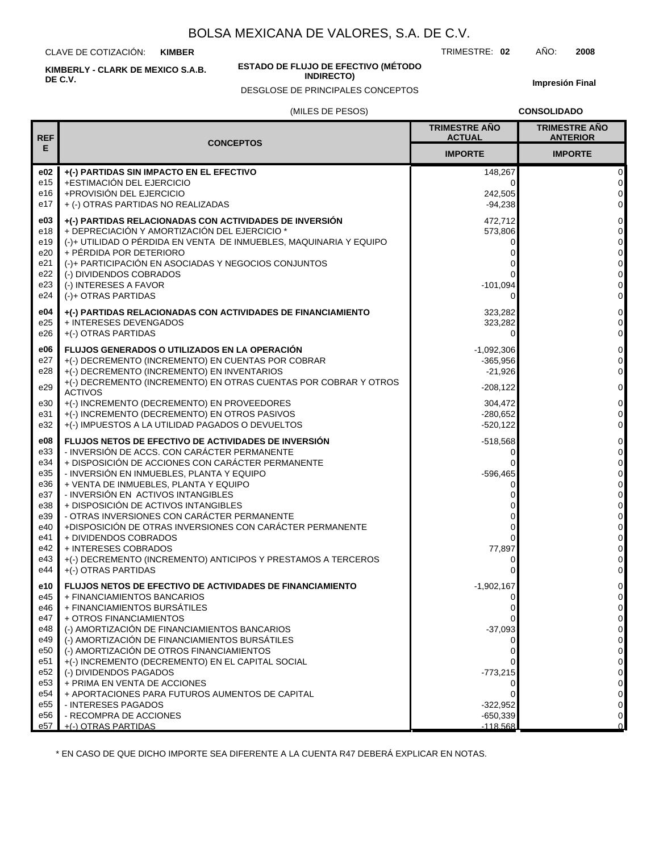CLAVE DE COTIZACIÓN: **KIMBER**

**KIMBERLY - CLARK DE MEXICO S.A.B. DE C.V.**

#### **ESTADO DE FLUJO DE EFECTIVO (MÉTODO INDIRECTO)**

DESGLOSE DE PRINCIPALES CONCEPTOS

# **Impresión Final**

TRIMESTRE: **02** AÑO: **2008**

#### (MILES DE PESOS)

**CONSOLIDADO**

| <b>REF</b>                                                                                     |                                                                                                                                                                                                                                                                                                                                                                                                                                                                                                                                                                                    | <b>TRIMESTRE ANO</b><br><b>ACTUAL</b>                                                                                          | <b>TRIMESTRE AÑO</b><br><b>ANTERIOR</b>                                                     |
|------------------------------------------------------------------------------------------------|------------------------------------------------------------------------------------------------------------------------------------------------------------------------------------------------------------------------------------------------------------------------------------------------------------------------------------------------------------------------------------------------------------------------------------------------------------------------------------------------------------------------------------------------------------------------------------|--------------------------------------------------------------------------------------------------------------------------------|---------------------------------------------------------------------------------------------|
| Е                                                                                              | <b>CONCEPTOS</b>                                                                                                                                                                                                                                                                                                                                                                                                                                                                                                                                                                   | <b>IMPORTE</b>                                                                                                                 | <b>IMPORTE</b>                                                                              |
| e02<br>e15<br>e16<br>e17                                                                       | +(-) PARTIDAS SIN IMPACTO EN EL EFECTIVO<br>+ESTIMACIÓN DEL EJERCICIO<br>+PROVISIÓN DEL EJERCICIO<br>+ (-) OTRAS PARTIDAS NO REALIZADAS                                                                                                                                                                                                                                                                                                                                                                                                                                            | 148,267<br>0<br>242,505<br>$-94,238$                                                                                           | 0<br>0<br>0<br>0                                                                            |
| e03<br>e18<br>e19<br>e20<br>e21<br>e22<br>e23<br>e24                                           | +(-) PARTIDAS RELACIONADAS CON ACTIVIDADES DE INVERSIÓN<br>+ DEPRECIACIÓN Y AMORTIZACIÓN DEL EJERCICIO *<br>(-)+ UTILIDAD O PÉRDIDA EN VENTA DE INMUEBLES, MAQUINARIA Y EQUIPO<br>+ PÉRDIDA POR DETERIORO<br>(-)+ PARTICIPACIÓN EN ASOCIADAS Y NEGOCIOS CONJUNTOS<br>(-) DIVIDENDOS COBRADOS<br>(-) INTERESES A FAVOR<br>$(-)$ + OTRAS PARTIDAS                                                                                                                                                                                                                                    | 472,712<br>573,806<br>0<br>ი<br>ი<br>0<br>$-101,094$<br>0                                                                      | 0<br>0<br>$\pmb{0}$<br>0<br>0<br>$\pmb{0}$<br>0<br>0                                        |
| e04<br>e25<br>e26                                                                              | +(-) PARTIDAS RELACIONADAS CON ACTIVIDADES DE FINANCIAMIENTO<br>+ INTERESES DEVENGADOS<br>+(-) OTRAS PARTIDAS                                                                                                                                                                                                                                                                                                                                                                                                                                                                      | 323,282<br>323,282<br>$\Omega$                                                                                                 | 0<br>0<br>0                                                                                 |
| e06<br>e27<br>e28<br>e29                                                                       | FLUJOS GENERADOS O UTILIZADOS EN LA OPERACIÓN<br>+(-) DECREMENTO (INCREMENTO) EN CUENTAS POR COBRAR<br>+(-) DECREMENTO (INCREMENTO) EN INVENTARIOS<br>+(-) DECREMENTO (INCREMENTO) EN OTRAS CUENTAS POR COBRAR Y OTROS<br><b>ACTIVOS</b>                                                                                                                                                                                                                                                                                                                                           | $-1,092,306$<br>$-365,956$<br>$-21,926$<br>$-208,122$                                                                          | 0<br>0<br>0<br>0                                                                            |
| e30<br>e31<br>e32                                                                              | +(-) INCREMENTO (DECREMENTO) EN PROVEEDORES<br>+(-) INCREMENTO (DECREMENTO) EN OTROS PASIVOS<br>+(-) IMPUESTOS A LA UTILIDAD PAGADOS O DEVUELTOS                                                                                                                                                                                                                                                                                                                                                                                                                                   | 304,472<br>$-280,652$<br>$-520,122$                                                                                            | 0<br>0<br>0                                                                                 |
| e08<br>e33<br>e34<br>e35<br>e36<br>e37<br>e38<br>e39<br>e40<br>e41<br>e42<br>e43<br>e44        | FLUJOS NETOS DE EFECTIVO DE ACTIVIDADES DE INVERSIÓN<br>- INVERSIÓN DE ACCS. CON CARÁCTER PERMANENTE<br>+ DISPOSICIÓN DE ACCIONES CON CARÁCTER PERMANENTE<br>- INVERSIÓN EN INMUEBLES, PLANTA Y EQUIPO<br>+ VENTA DE INMUEBLES, PLANTA Y EQUIPO<br>- INVERSIÓN EN ACTIVOS INTANGIBLES<br>+ DISPOSICIÓN DE ACTIVOS INTANGIBLES<br>- OTRAS INVERSIONES CON CARÁCTER PERMANENTE<br>+DISPOSICIÓN DE OTRAS INVERSIONES CON CARÁCTER PERMANENTE<br>+ DIVIDENDOS COBRADOS<br>+ INTERESES COBRADOS<br>+(-) DECREMENTO (INCREMENTO) ANTICIPOS Y PRESTAMOS A TERCEROS<br>+(-) OTRAS PARTIDAS | $-518,568$<br>0<br>$\Omega$<br>$-596,465$<br>0<br>ი<br>ი<br>0<br>0<br>77,897<br>0<br>0                                         | 0<br>0<br>0<br>0<br>0<br>0<br>0<br>0<br>0<br>0<br>0<br>0<br>0                               |
| e10<br>e45<br>e46<br>e47<br>e48<br>e49<br>e50<br>e51<br>e52<br>e53<br>e54<br>e55<br>e56<br>e57 | <b>FLUJOS NETOS DE EFECTIVO DE ACTIVIDADES DE FINANCIAMIENTO</b><br>+ FINANCIAMIENTOS BANCARIOS<br>+ FINANCIAMIENTOS BURSÁTILES<br>+ OTROS FINANCIAMIENTOS<br>(-) AMORTIZACIÓN DE FINANCIAMIENTOS BANCARIOS<br>(-) AMORTIZACIÓN DE FINANCIAMIENTOS BURSÁTILES<br>(-) AMORTIZACIÓN DE OTROS FINANCIAMIENTOS<br>+(-) INCREMENTO (DECREMENTO) EN EL CAPITAL SOCIAL<br>(-) DIVIDENDOS PAGADOS<br>+ PRIMA EN VENTA DE ACCIONES<br>+ APORTACIONES PARA FUTUROS AUMENTOS DE CAPITAL<br>- INTERESES PAGADOS<br>- RECOMPRA DE ACCIONES<br>+(-) OTRAS PARTIDAS                               | $-1,902,167$<br>$\overline{0}$<br>0<br>$\Omega$<br>$-37,093$<br>0<br>0<br>$-773,215$<br>$-322,952$<br>$-650,339$<br>$-118.568$ | 0<br>0<br>0<br>0<br>$\mathsf 0$<br>0<br>0<br>0<br>0<br>0<br>0<br>$\pmb{0}$<br>0<br>$\Omega$ |

\* EN CASO DE QUE DICHO IMPORTE SEA DIFERENTE A LA CUENTA R47 DEBERÁ EXPLICAR EN NOTAS.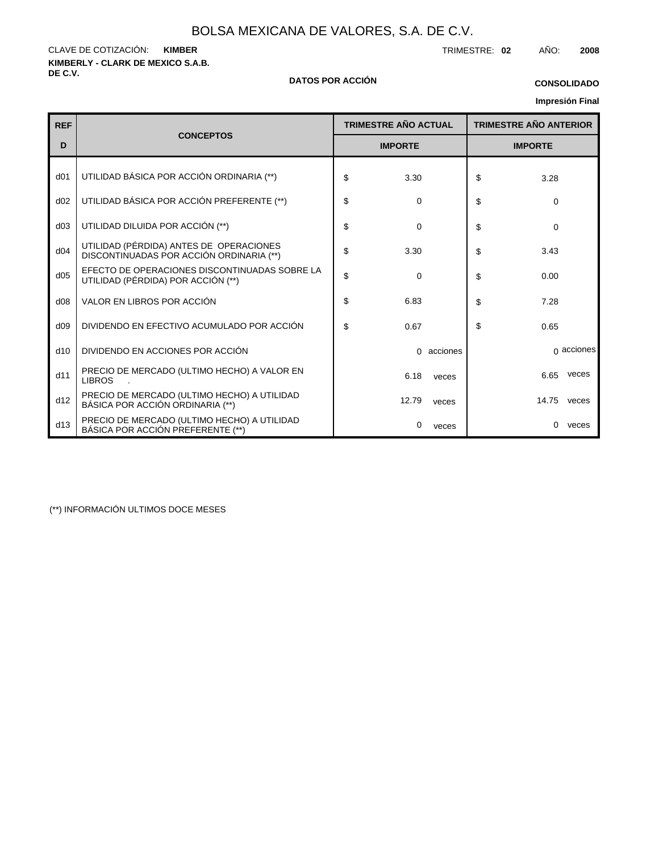**KIMBERLY - CLARK DE MEXICO S.A.B.** CLAVE DE COTIZACIÓN: TRIMESTRE: **02** AÑO: **2008 KIMBER**

#### **DE C.V. DATOS POR ACCIÓN**

# **CONSOLIDADO**

**Impresión Final**

| <b>REF</b>      | <b>CONCEPTOS</b>                                                                    |    | <b>TRIMESTRE AÑO ACTUAL</b> |            |                | <b>TRIMESTRE AÑO ANTERIOR</b> |                   |  |
|-----------------|-------------------------------------------------------------------------------------|----|-----------------------------|------------|----------------|-------------------------------|-------------------|--|
| D               |                                                                                     |    | <b>IMPORTE</b>              |            | <b>IMPORTE</b> |                               |                   |  |
| d <sub>01</sub> | UTILIDAD BÁSICA POR ACCIÓN ORDINARIA (**)                                           | \$ | 3.30                        |            | \$             | 3.28                          |                   |  |
| d02             | UTILIDAD BÁSICA POR ACCIÓN PREFERENTE (**)                                          | \$ | 0                           |            | \$             | $\mathbf 0$                   |                   |  |
| d03             | UTILIDAD DILUIDA POR ACCIÓN (**)                                                    | \$ | 0                           |            | \$             | $\Omega$                      |                   |  |
| d04             | UTILIDAD (PÉRDIDA) ANTES DE OPERACIONES<br>DISCONTINUADAS POR ACCIÓN ORDINARIA (**) | \$ | 3.30                        |            | \$             | 3.43                          |                   |  |
| d05             | EFECTO DE OPERACIONES DISCONTINUADAS SOBRE LA<br>UTILIDAD (PÉRDIDA) POR ACCIÓN (**) | \$ | $\mathbf 0$                 |            | \$             | 0.00                          |                   |  |
| d08             | VALOR EN LIBROS POR ACCIÓN                                                          | \$ | 6.83                        |            | \$             | 7.28                          |                   |  |
| d09             | DIVIDENDO EN EFECTIVO ACUMULADO POR ACCIÓN                                          | \$ | 0.67                        |            | \$             | 0.65                          |                   |  |
| d10             | DIVIDENDO EN ACCIONES POR ACCIÓN                                                    |    |                             | 0 acciones |                |                               | $\alpha$ acciones |  |
| d11             | PRECIO DE MERCADO (ULTIMO HECHO) A VALOR EN<br><b>LIBROS</b>                        |    | 6.18                        | veces      |                | 6.65                          | veces             |  |
| d12             | PRECIO DE MERCADO (ULTIMO HECHO) A UTILIDAD<br>BÁSICA POR ACCIÓN ORDINARIA (**)     |    | 12.79                       | veces      |                | 14.75                         | veces             |  |
| d13             | PRECIO DE MERCADO (ULTIMO HECHO) A UTILIDAD<br>BÁSICA POR ACCIÓN PREFERENTE (**)    |    | 0                           | veces      |                | $\Omega$                      | veces             |  |

(\*\*) INFORMACIÓN ULTIMOS DOCE MESES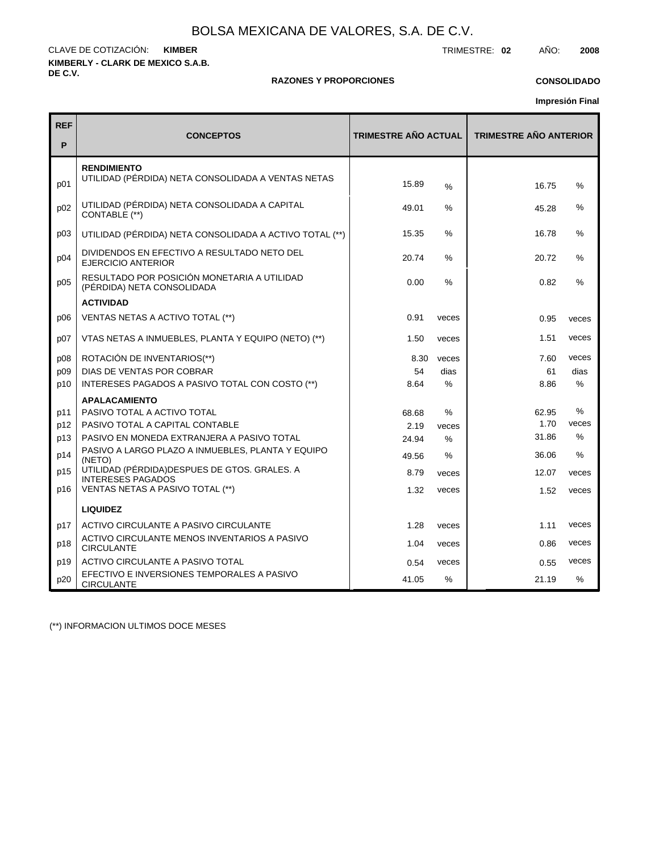**KIMBERLY - CLARK DE MEXICO S.A.B. DE C.V.** CLAVE DE COTIZACIÓN: TRIMESTRE: **02** AÑO: **2008 KIMBER**

#### **RAZONES Y PROPORCIONES**

## **CONSOLIDADO**

**Impresión Final**

| <b>REF</b><br>P | <b>CONCEPTOS</b>                                                          | <b>TRIMESTRE AÑO ACTUAL</b> |       | <b>TRIMESTRE AÑO ANTERIOR</b> |               |  |  |
|-----------------|---------------------------------------------------------------------------|-----------------------------|-------|-------------------------------|---------------|--|--|
| p01             | <b>RENDIMIENTO</b><br>UTILIDAD (PÉRDIDA) NETA CONSOLIDADA A VENTAS NETAS  | 15.89                       | %     | 16.75                         | $\frac{0}{0}$ |  |  |
| p02             | UTILIDAD (PÉRDIDA) NETA CONSOLIDADA A CAPITAL<br>CONTABLE (**)            | 49.01                       | %     | 45.28                         | %             |  |  |
| p03             | UTILIDAD (PÉRDIDA) NETA CONSOLIDADA A ACTIVO TOTAL (**)                   | 15.35                       | $\%$  | 16.78                         | %             |  |  |
| p04             | DIVIDENDOS EN EFECTIVO A RESULTADO NETO DEL<br><b>EJERCICIO ANTERIOR</b>  | 20.74                       | %     | 20.72                         | %             |  |  |
| p05             | RESULTADO POR POSICIÓN MONETARIA A UTILIDAD<br>(PÉRDIDA) NETA CONSOLIDADA | 0.00                        | %     | 0.82                          | $\frac{0}{0}$ |  |  |
|                 | <b>ACTIVIDAD</b>                                                          |                             |       |                               |               |  |  |
| p06             | VENTAS NETAS A ACTIVO TOTAL (**)                                          | 0.91                        | veces | 0.95                          | veces         |  |  |
| p07             | VTAS NETAS A INMUEBLES, PLANTA Y EQUIPO (NETO) (**)                       | 1.50                        | veces | 1.51                          | veces         |  |  |
| p08             | ROTACIÓN DE INVENTARIOS(**)                                               | 8.30                        | veces | 7.60                          | veces         |  |  |
| p09             | DIAS DE VENTAS POR COBRAR                                                 | 54                          | dias  | 61                            | dias          |  |  |
| p10             | INTERESES PAGADOS A PASIVO TOTAL CON COSTO (**)                           | 8.64                        | $\%$  | 8.86                          | $\frac{0}{0}$ |  |  |
|                 | <b>APALACAMIENTO</b>                                                      |                             |       |                               |               |  |  |
| p11             | PASIVO TOTAL A ACTIVO TOTAL                                               | 68.68                       | %     | 62.95                         | $\%$          |  |  |
| p12             | PASIVO TOTAL A CAPITAL CONTABLE                                           | 2.19                        | veces | 1.70                          | veces         |  |  |
| p13             | PASIVO EN MONEDA EXTRANJERA A PASIVO TOTAL                                | 24.94                       | %     | 31.86                         | $\%$          |  |  |
| p14             | PASIVO A LARGO PLAZO A INMUEBLES, PLANTA Y EQUIPO<br>(NETO)               | 49.56                       | %     | 36.06                         | %             |  |  |
| p15             | UTILIDAD (PÉRDIDA) DESPUES DE GTOS. GRALES. A<br><b>INTERESES PAGADOS</b> | 8.79                        | veces | 12.07                         | veces         |  |  |
| p16             | VENTAS NETAS A PASIVO TOTAL (**)                                          | 1.32                        | veces | 1.52                          | veces         |  |  |
|                 | <b>LIQUIDEZ</b>                                                           |                             |       |                               |               |  |  |
| p17             | ACTIVO CIRCULANTE A PASIVO CIRCULANTE                                     | 1.28                        | veces | 1.11                          | veces         |  |  |
| p18             | ACTIVO CIRCULANTE MENOS INVENTARIOS A PASIVO<br><b>CIRCULANTE</b>         | 1.04                        | veces | 0.86                          | veces         |  |  |
| p19             | ACTIVO CIRCULANTE A PASIVO TOTAL                                          | 0.54                        | veces | 0.55                          | veces         |  |  |
| p20             | EFECTIVO E INVERSIONES TEMPORALES A PASIVO<br><b>CIRCULANTE</b>           | 41.05                       | $\%$  | 21.19                         | $\frac{0}{0}$ |  |  |

(\*\*) INFORMACION ULTIMOS DOCE MESES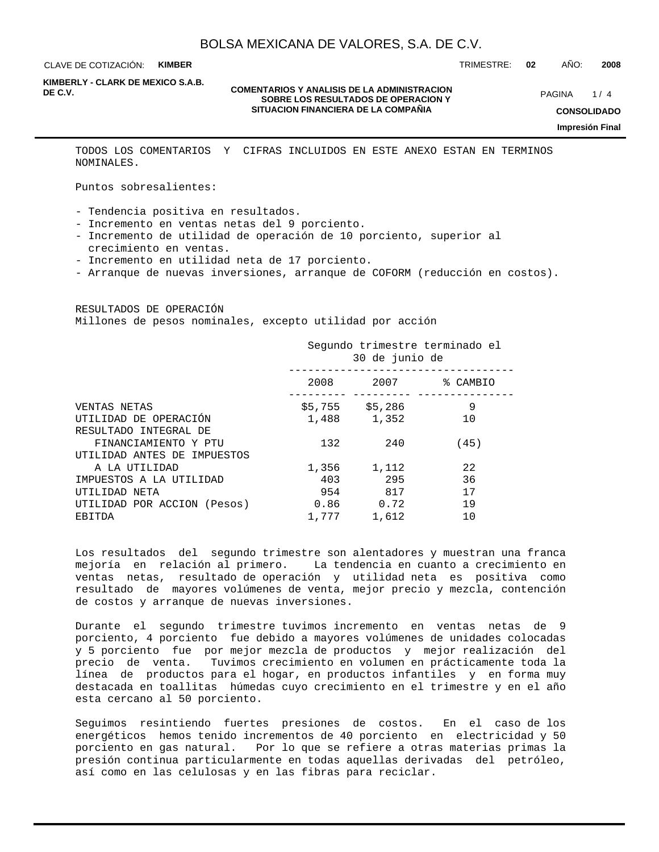CLAVE DE COTIZACIÓN: **KIMBER** TRIMESTRE: **02** AÑO: **2008**

**KIMBERLY - CLARK DE MEXICO S.A.B.**

#### **COMENTARIOS Y ANALISIS DE LA ADMINISTRACION PAGINA 1/4**<br> **COMENTARIOS Y ANALISIS DE LA ADMINISTRACION Y PAGINA 1/4 SOBRE LOS RESULTADOS DE OPERACION Y SITUACION FINANCIERA DE LA COMPAÑIA**

 $1/4$ **CONSOLIDADO Impresión Final**

TODOS LOS COMENTARIOS Y CIFRAS INCLUIDOS EN ESTE ANEXO ESTAN EN TERMINOS NOMINALES.

Puntos sobresalientes:

- Tendencia positiva en resultados.
- Incremento en ventas netas del 9 porciento.
- Incremento de utilidad de operación de 10 porciento, superior al crecimiento en ventas.
- Incremento en utilidad neta de 17 porciento.
- Arranque de nuevas inversiones, arranque de COFORM (reducción en costos).

RESULTADOS DE OPERACIÓN Millones de pesos nominales, excepto utilidad por acción

|                             |       | Segundo trimestre terminado el<br>30 de junio de |          |  |  |  |  |  |
|-----------------------------|-------|--------------------------------------------------|----------|--|--|--|--|--|
|                             | 2008  | 2007                                             | % CAMBIO |  |  |  |  |  |
| VENTAS NETAS                |       | $$5,755$ $$5,286$                                | 9        |  |  |  |  |  |
| UTILIDAD DE OPERACIÓN       |       | 1,488 1,352                                      | 10       |  |  |  |  |  |
| RESULTADO INTEGRAL DE       |       |                                                  |          |  |  |  |  |  |
| FINANCIAMIENTO Y PTU        | 132   | 240                                              | (45)     |  |  |  |  |  |
| UTILIDAD ANTES DE IMPUESTOS |       |                                                  |          |  |  |  |  |  |
| A LA UTILIDAD               | 1,356 | 1,112                                            | 22       |  |  |  |  |  |
| IMPUESTOS A LA UTILIDAD     | 403   | 295                                              | 36       |  |  |  |  |  |
| UTILIDAD NETA               | 954   | 817                                              | 17       |  |  |  |  |  |
| UTILIDAD POR ACCION (Pesos) | 0.86  | 0.72                                             | 19       |  |  |  |  |  |
| EBITDA                      | 1,777 | 1,612                                            | 10       |  |  |  |  |  |

Los resultados del segundo trimestre son alentadores y muestran una franca mejoría en relación al primero. La tendencia en cuanto a crecimiento en ventas netas, resultado de operación y utilidad neta es positiva como resultado de mayores volúmenes de venta, mejor precio y mezcla, contención de costos y arranque de nuevas inversiones.

Durante el segundo trimestre tuvimos incremento en ventas netas de 9 porciento, 4 porciento fue debido a mayores volúmenes de unidades colocadas y 5 porciento fue por mejor mezcla de productos y mejor realización del precio de venta. Tuvimos crecimiento en volumen en prácticamente toda la línea de productos para el hogar, en productos infantiles y en forma muy destacada en toallitas húmedas cuyo crecimiento en el trimestre y en el año esta cercano al 50 porciento.

Seguimos resintiendo fuertes presiones de costos. En el caso de los energéticos hemos tenido incrementos de 40 porciento en electricidad y 50 porciento en gas natural. Por lo que se refiere a otras materias primas la presión continua particularmente en todas aquellas derivadas del petróleo, así como en las celulosas y en las fibras para reciclar.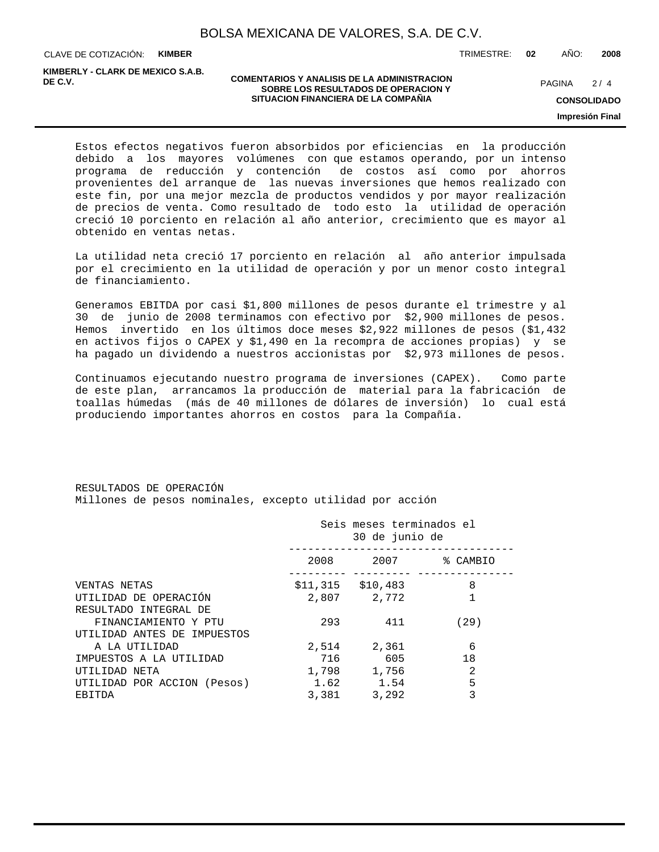CLAVE DE COTIZACIÓN: **KIMBER**

**KIMBERLY - CLARK DE MEXICO S.A.B.**

#### **COMENTARIOS Y ANALISIS DE LA ADMINISTRACION<br>COMENTARIOS Y ANALISIS DE LA ADMINISTRACION MARIE DE PROGRAMA DE PROGRAMA DE PROGRAMA DE PROGRAMA DE PROGRAMA D SOBRE LOS RESULTADOS DE OPERACION Y SITUACION FINANCIERA DE LA COMPAÑIA**

 $2/4$ 

TRIMESTRE: **02** AÑO: **2008**

**CONSOLIDADO Impresión Final**

Estos efectos negativos fueron absorbidos por eficiencias en la producción debido a los mayores volúmenes con que estamos operando, por un intenso programa de reducción y contención de costos así como por ahorros provenientes del arranque de las nuevas inversiones que hemos realizado con este fin, por una mejor mezcla de productos vendidos y por mayor realización de precios de venta. Como resultado de todo esto la utilidad de operación creció 10 porciento en relación al año anterior, crecimiento que es mayor al obtenido en ventas netas.

La utilidad neta creció 17 porciento en relación al año anterior impulsada por el crecimiento en la utilidad de operación y por un menor costo integral de financiamiento.

Generamos EBITDA por casi \$1,800 millones de pesos durante el trimestre y al 30 de junio de 2008 terminamos con efectivo por \$2,900 millones de pesos. Hemos invertido en los últimos doce meses \$2,922 millones de pesos (\$1,432 en activos fijos o CAPEX y \$1,490 en la recompra de acciones propias) y se ha pagado un dividendo a nuestros accionistas por \$2,973 millones de pesos.

Continuamos ejecutando nuestro programa de inversiones (CAPEX). Como parte de este plan, arrancamos la producción de material para la fabricación de toallas húmedas (más de 40 millones de dólares de inversión) lo cual está produciendo importantes ahorros en costos para la Compañía.

#### RESULTADOS DE OPERACIÓN Millones de pesos nominales, excepto utilidad por acción

|                             |       | Seis meses terminados el<br>30 de junio de |                |  |  |  |  |
|-----------------------------|-------|--------------------------------------------|----------------|--|--|--|--|
|                             | 2008  | 2007                                       | % CAMBIO       |  |  |  |  |
| VENTAS NETAS                |       | $$11,315$ $$10,483$                        | 8              |  |  |  |  |
| UTILIDAD DE OPERACIÓN       |       | 2,807 2,772                                |                |  |  |  |  |
| RESULTADO INTEGRAL DE       |       |                                            |                |  |  |  |  |
| FINANCIAMIENTO Y PTU        | 293   | 411                                        | (29)           |  |  |  |  |
| UTILIDAD ANTES DE IMPUESTOS |       |                                            |                |  |  |  |  |
| A LA UTILIDAD               | 2,514 | 2,361                                      | 6              |  |  |  |  |
| IMPUESTOS A LA UTILIDAD     | 716   | 605                                        | 18             |  |  |  |  |
| UTILIDAD NETA               |       | 1,798 1,756                                | $\mathfrak{D}$ |  |  |  |  |
| UTILIDAD POR ACCION (Pesos) | 1.62  | 1.54                                       | 5              |  |  |  |  |
| EBITDA                      | 3,381 | 3,292                                      | 3              |  |  |  |  |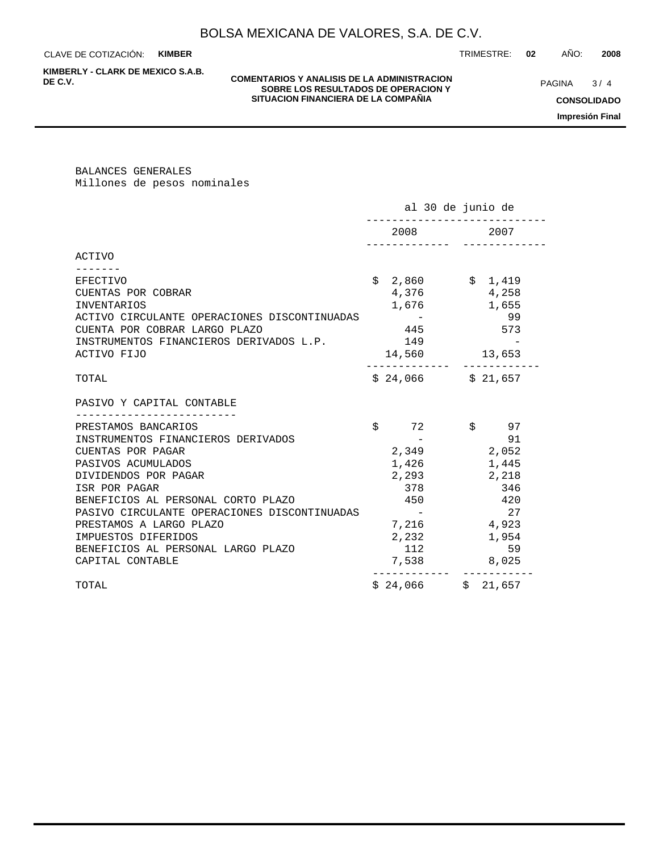CLAVE DE COTIZACIÓN: **KIMBER**

**KIMBERLY - CLARK DE MEXICO S.A.B.**

#### **COMENTARIOS Y ANALISIS DE LA ADMINISTRACION<br>
COMENTARIOS Y ANALISIS DE LA ADMINISTRACION MARIE DE PRESENTACION DE PRESENTACION DE PRESENTACION DE PRESENTA SOBRE LOS RESULTADOS DE OPERACION Y SITUACION FINANCIERA DE LA COMPAÑIA**

 $3/4$ 

**CONSOLIDADO**

**Impresión Final**

## BALANCES GENERALES Millones de pesos nominales

|                                                                                                                                                                                                                                                                                                                                                 | al 30 de junio de                                                  |                                                                                                          |  |  |
|-------------------------------------------------------------------------------------------------------------------------------------------------------------------------------------------------------------------------------------------------------------------------------------------------------------------------------------------------|--------------------------------------------------------------------|----------------------------------------------------------------------------------------------------------|--|--|
|                                                                                                                                                                                                                                                                                                                                                 | 2008                                                               | 2007                                                                                                     |  |  |
| ACTIVO                                                                                                                                                                                                                                                                                                                                          |                                                                    |                                                                                                          |  |  |
| <b>EFECTIVO</b><br>CUENTAS POR COBRAR<br><b>INVENTARIOS</b><br>ACTIVO CIRCULANTE OPERACIONES DISCONTINUADAS<br>CUENTA POR COBRAR LARGO PLAZO<br>INSTRUMENTOS FINANCIEROS DERIVADOS L.P.<br>ACTIVO FIJO                                                                                                                                          | $$2,860$ $$1,419$<br>4,376<br>1,676<br>445<br>149<br>14,560 13,653 | 4,258<br>1,655<br>99<br>573                                                                              |  |  |
| TOTAL                                                                                                                                                                                                                                                                                                                                           | $$24,066$ $$21,657$                                                |                                                                                                          |  |  |
| PASIVO Y CAPITAL CONTABLE                                                                                                                                                                                                                                                                                                                       |                                                                    |                                                                                                          |  |  |
| PRESTAMOS BANCARIOS<br>INSTRUMENTOS FINANCIEROS DERIVADOS<br>CUENTAS POR PAGAR<br>PASIVOS ACUMULADOS<br>DIVIDENDOS POR PAGAR<br>ISR POR PAGAR<br>BENEFICIOS AL PERSONAL CORTO PLAZO<br>PASIVO CIRCULANTE OPERACIONES DISCONTINUADAS<br>PRESTAMOS A LARGO PLAZO<br>IMPUESTOS DIFERIDOS<br>BENEFICIOS AL PERSONAL LARGO PLAZO<br>CAPITAL CONTABLE | \$<br>72<br>2,349<br>1,426<br>2,293<br>378<br>450<br>2,232<br>112  | \$ 97<br>91<br>2,052<br>1,445<br>2,218<br>346<br>420<br>2.7<br>7,216 4,923<br>1,954<br>59<br>7,538 8,025 |  |  |
| TOTAL                                                                                                                                                                                                                                                                                                                                           | $$24,066$ $$21,657$                                                |                                                                                                          |  |  |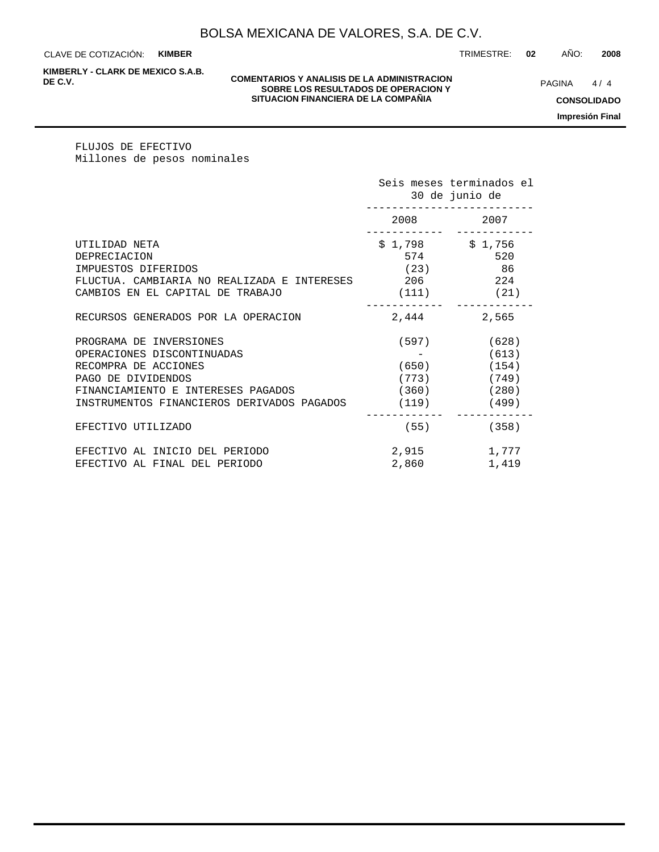CLAVE DE COTIZACIÓN: **KIMBER**

**KIMBERLY - CLARK DE MEXICO S.A.B.**

#### **COMENTARIOS Y ANALISIS DE LA ADMINISTRACION<br>COMENTARIOS Y ANALISIS DE LA ADMINISTRACION Y PAGINA 4/4 SOBRE LOS RESULTADOS DE OPERACION Y SITUACION FINANCIERA DE LA COMPAÑIA**

 $4/4$ 

**CONSOLIDADO**

**Impresión Final**

FLUJOS DE EFECTIVO Millones de pesos nominales

|                                                                                                                                                                                         |                                                                                                          | Seis meses terminados el<br>30 de junio de                                       |
|-----------------------------------------------------------------------------------------------------------------------------------------------------------------------------------------|----------------------------------------------------------------------------------------------------------|----------------------------------------------------------------------------------|
|                                                                                                                                                                                         |                                                                                                          | 2008 2007                                                                        |
| UTILIDAD NETA<br>DEPRECIACION<br>IMPUESTOS DIFERIDOS<br>FLUCTUA. CAMBIARIA NO REALIZADA E INTERESES<br>CAMBIOS EN EL CAPITAL DE TRABAJO                                                 | 574<br>(23)<br>206                                                                                       | $$1,798$ $$1,756$<br>520<br>86<br>224<br>$(111)$ (21)                            |
| RECURSOS GENERADOS POR LA OPERACION                                                                                                                                                     | 2,444                                                                                                    | 2,565                                                                            |
| PROGRAMA DE INVERSIONES<br>OPERACIONES DISCONTINUADAS<br>RECOMPRA DE ACCIONES<br>PAGO DE DIVIDENDOS<br>FINANCIAMIENTO E INTERESES PAGADOS<br>INSTRUMENTOS FINANCIEROS DERIVADOS PAGADOS | (597)<br>$\mathcal{L}_{\mathcal{A}}$ , and $\mathcal{L}_{\mathcal{A}}$ , and $\mathcal{L}_{\mathcal{A}}$ | (628)<br>(613)<br>$(650)$ (154)<br>(773) (749)<br>$(360)$ (280)<br>$(119)$ (499) |
| EFECTIVO UTILIZADO                                                                                                                                                                      |                                                                                                          | $(55)$ (358)                                                                     |
| EFECTIVO AL INICIO DEL PERIODO<br>EFECTIVO AL FINAL DEL PERIODO                                                                                                                         | 2,915<br>2,860                                                                                           | 1,777<br>1,419                                                                   |

TRIMESTRE: **02** AÑO: **2008**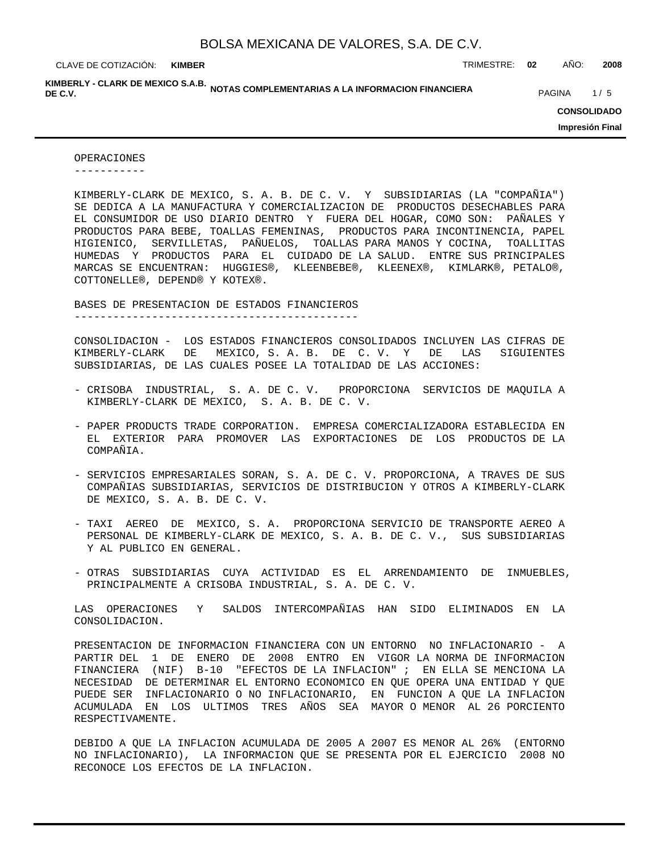**KIMBER**

CLAVE DE COTIZACIÓN: TRIMESTRE: **02** AÑO: **2008**

KIMBERLY - CLARK DE MEXICO S.A.B.<br>DE C.V. **DE C.V.** PAGINA 1/5

**CONSOLIDADO**

**Impresión Final**

OPERACIONES -----------

KIMBERLY-CLARK DE MEXICO, S. A. B. DE C. V. Y SUBSIDIARIAS (LA "COMPAÑIA") SE DEDICA A LA MANUFACTURA Y COMERCIALIZACION DE PRODUCTOS DESECHABLES PARA EL CONSUMIDOR DE USO DIARIO DENTRO Y FUERA DEL HOGAR, COMO SON: PAÑALES Y PRODUCTOS PARA BEBE, TOALLAS FEMENINAS, PRODUCTOS PARA INCONTINENCIA, PAPEL HIGIENICO, SERVILLETAS, PAÑUELOS, TOALLAS PARA MANOS Y COCINA, TOALLITAS HUMEDAS Y PRODUCTOS PARA EL CUIDADO DE LA SALUD. ENTRE SUS PRINCIPALES MARCAS SE ENCUENTRAN: HUGGIES®, KLEENBEBE®, KLEENEX®, KIMLARK®, PETALO®, COTTONELLE®, DEPEND® Y KOTEX®.

BASES DE PRESENTACION DE ESTADOS FINANCIEROS

--------------------------------------------

CONSOLIDACION - LOS ESTADOS FINANCIEROS CONSOLIDADOS INCLUYEN LAS CIFRAS DE KIMBERLY-CLARK DE MEXICO, S. A. B. DE C. V. Y DE LAS SIGUIENTES SUBSIDIARIAS, DE LAS CUALES POSEE LA TOTALIDAD DE LAS ACCIONES:

- CRISOBA INDUSTRIAL, S. A. DE C. V. PROPORCIONA SERVICIOS DE MAQUILA A KIMBERLY-CLARK DE MEXICO, S. A. B. DE C. V.
- PAPER PRODUCTS TRADE CORPORATION. EMPRESA COMERCIALIZADORA ESTABLECIDA EN EL EXTERIOR PARA PROMOVER LAS EXPORTACIONES DE LOS PRODUCTOS DE LA COMPAÑIA.
- SERVICIOS EMPRESARIALES SORAN, S. A. DE C. V. PROPORCIONA, A TRAVES DE SUS COMPAÑIAS SUBSIDIARIAS, SERVICIOS DE DISTRIBUCION Y OTROS A KIMBERLY-CLARK DE MEXICO, S. A. B. DE C. V.
- TAXI AEREO DE MEXICO, S. A. PROPORCIONA SERVICIO DE TRANSPORTE AEREO A PERSONAL DE KIMBERLY-CLARK DE MEXICO, S. A. B. DE C. V., SUS SUBSIDIARIAS Y AL PUBLICO EN GENERAL.
- OTRAS SUBSIDIARIAS CUYA ACTIVIDAD ES EL ARRENDAMIENTO DE INMUEBLES, PRINCIPALMENTE A CRISOBA INDUSTRIAL, S. A. DE C. V.

LAS OPERACIONES Y SALDOS INTERCOMPAÑIAS HAN SIDO ELIMINADOS EN LA CONSOLIDACION.

PRESENTACION DE INFORMACION FINANCIERA CON UN ENTORNO NO INFLACIONARIO - A PARTIR DEL 1 DE ENERO DE 2008 ENTRO EN VIGOR LA NORMA DE INFORMACION FINANCIERA (NIF) B-10 "EFECTOS DE LA INFLACION" ; EN ELLA SE MENCIONA LA NECESIDAD DE DETERMINAR EL ENTORNO ECONOMICO EN QUE OPERA UNA ENTIDAD Y QUE PUEDE SER INFLACIONARIO O NO INFLACIONARIO, EN FUNCION A QUE LA INFLACION ACUMULADA EN LOS ULTIMOS TRES AÑOS SEA MAYOR O MENOR AL 26 PORCIENTO RESPECTIVAMENTE.

DEBIDO A QUE LA INFLACION ACUMULADA DE 2005 A 2007 ES MENOR AL 26% (ENTORNO NO INFLACIONARIO), LA INFORMACION QUE SE PRESENTA POR EL EJERCICIO 2008 NO RECONOCE LOS EFECTOS DE LA INFLACION.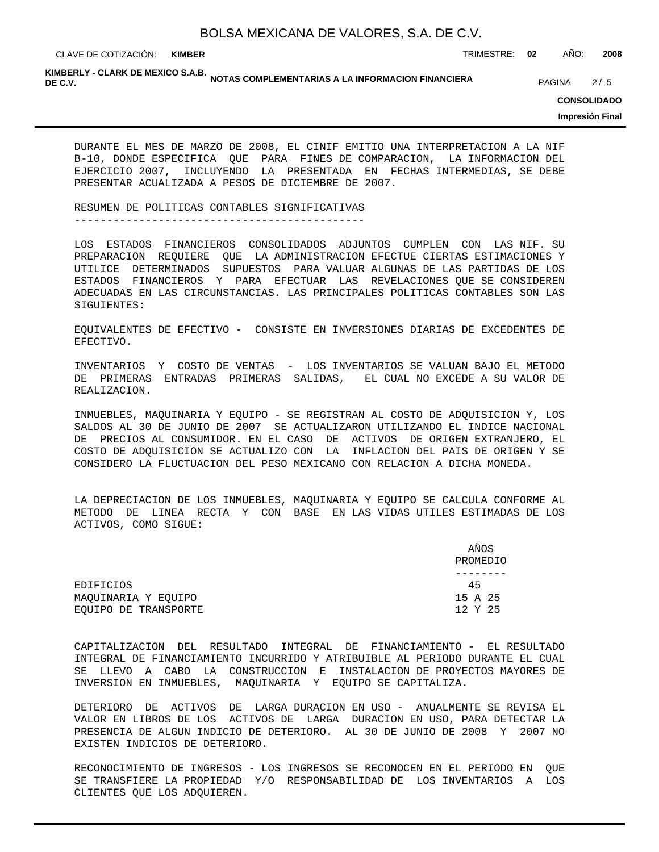CLAVE DE COTIZACIÓN: TRIMESTRE: **02** AÑO: **2008 KIMBER**

KIMBERLY - CLARK DE MEXICO S.A.B.<br>DE C.V. **DE C.V.** PAGINA 2/5

#### **CONSOLIDADO**

**Impresión Final**

DURANTE EL MES DE MARZO DE 2008, EL CINIF EMITIO UNA INTERPRETACION A LA NIF B-10, DONDE ESPECIFICA QUE PARA FINES DE COMPARACION, LA INFORMACION DEL EJERCICIO 2007, INCLUYENDO LA PRESENTADA EN FECHAS INTERMEDIAS, SE DEBE PRESENTAR ACUALIZADA A PESOS DE DICIEMBRE DE 2007.

RESUMEN DE POLITICAS CONTABLES SIGNIFICATIVAS ---------------------------------------------

LOS ESTADOS FINANCIEROS CONSOLIDADOS ADJUNTOS CUMPLEN CON LAS NIF. SU PREPARACION REQUIERE QUE LA ADMINISTRACION EFECTUE CIERTAS ESTIMACIONES Y UTILICE DETERMINADOS SUPUESTOS PARA VALUAR ALGUNAS DE LAS PARTIDAS DE LOS ESTADOS FINANCIEROS Y PARA EFECTUAR LAS REVELACIONES QUE SE CONSIDEREN ADECUADAS EN LAS CIRCUNSTANCIAS. LAS PRINCIPALES POLITICAS CONTABLES SON LAS SIGUIENTES:

EQUIVALENTES DE EFECTIVO - CONSISTE EN INVERSIONES DIARIAS DE EXCEDENTES DE EFECTIVO.

INVENTARIOS Y COSTO DE VENTAS - LOS INVENTARIOS SE VALUAN BAJO EL METODO DE PRIMERAS ENTRADAS PRIMERAS SALIDAS, EL CUAL NO EXCEDE A SU VALOR DE REALIZACION.

INMUEBLES, MAQUINARIA Y EQUIPO - SE REGISTRAN AL COSTO DE ADQUISICION Y, LOS SALDOS AL 30 DE JUNIO DE 2007 SE ACTUALIZARON UTILIZANDO EL INDICE NACIONAL DE PRECIOS AL CONSUMIDOR. EN EL CASO DE ACTIVOS DE ORIGEN EXTRANJERO, EL COSTO DE ADQUISICION SE ACTUALIZO CON LA INFLACION DEL PAIS DE ORIGEN Y SE CONSIDERO LA FLUCTUACION DEL PESO MEXICANO CON RELACION A DICHA MONEDA.

LA DEPRECIACION DE LOS INMUEBLES, MAQUINARIA Y EQUIPO SE CALCULA CONFORME AL METODO DE LINEA RECTA Y CON BASE EN LAS VIDAS UTILES ESTIMADAS DE LOS ACTIVOS, COMO SIGUE:

|                      | PROMEDIO | AÑOS |  |
|----------------------|----------|------|--|
|                      |          |      |  |
| EDIFICIOS            | 45       |      |  |
| MAOUINARIA Y EOUIPO  | 15 A 25  |      |  |
| EOUIPO DE TRANSPORTE | 12 Y 25  |      |  |

CAPITALIZACION DEL RESULTADO INTEGRAL DE FINANCIAMIENTO - EL RESULTADO INTEGRAL DE FINANCIAMIENTO INCURRIDO Y ATRIBUIBLE AL PERIODO DURANTE EL CUAL SE LLEVO A CABO LA CONSTRUCCION E INSTALACION DE PROYECTOS MAYORES DE INVERSION EN INMUEBLES, MAQUINARIA Y EQUIPO SE CAPITALIZA.

DETERIORO DE ACTIVOS DE LARGA DURACION EN USO - ANUALMENTE SE REVISA EL VALOR EN LIBROS DE LOS ACTIVOS DE LARGA DURACION EN USO, PARA DETECTAR LA PRESENCIA DE ALGUN INDICIO DE DETERIORO. AL 30 DE JUNIO DE 2008 Y 2007 NO EXISTEN INDICIOS DE DETERIORO.

RECONOCIMIENTO DE INGRESOS - LOS INGRESOS SE RECONOCEN EN EL PERIODO EN QUE SE TRANSFIERE LA PROPIEDAD Y/O RESPONSABILIDAD DE LOS INVENTARIOS A LOS CLIENTES QUE LOS ADQUIEREN.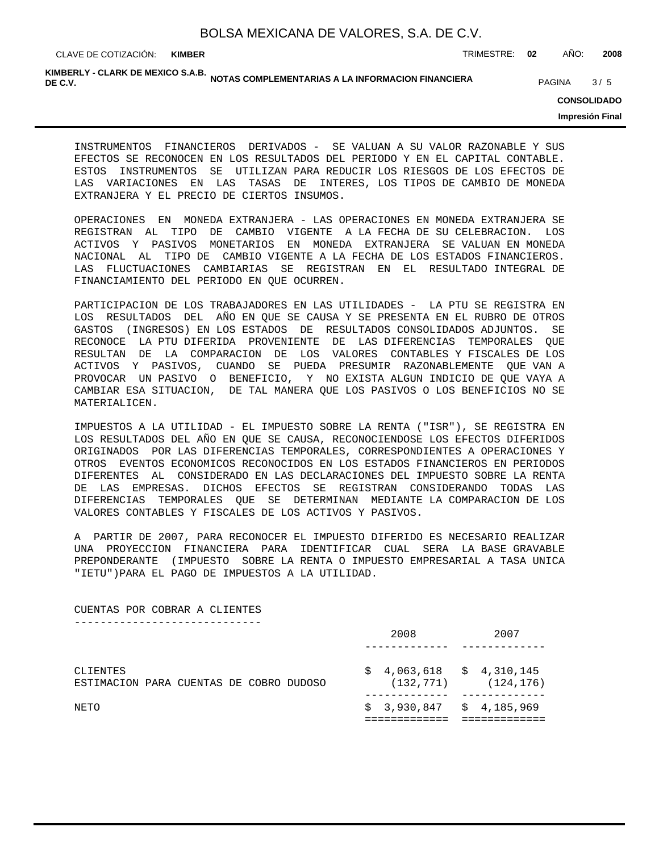CLAVE DE COTIZACIÓN: TRIMESTRE: **02** AÑO: **2008 KIMBER**

KIMBERLY - CLARK DE MEXICO S.A.B.<br>DE C.V. **DE C.V.** PAGINA 3/5

**CONSOLIDADO**

**Impresión Final**

INSTRUMENTOS FINANCIEROS DERIVADOS - SE VALUAN A SU VALOR RAZONABLE Y SUS EFECTOS SE RECONOCEN EN LOS RESULTADOS DEL PERIODO Y EN EL CAPITAL CONTABLE. ESTOS INSTRUMENTOS SE UTILIZAN PARA REDUCIR LOS RIESGOS DE LOS EFECTOS DE LAS VARIACIONES EN LAS TASAS DE INTERES, LOS TIPOS DE CAMBIO DE MONEDA EXTRANJERA Y EL PRECIO DE CIERTOS INSUMOS.

OPERACIONES EN MONEDA EXTRANJERA - LAS OPERACIONES EN MONEDA EXTRANJERA SE REGISTRAN AL TIPO DE CAMBIO VIGENTE A LA FECHA DE SU CELEBRACION. LOS ACTIVOS Y PASIVOS MONETARIOS EN MONEDA EXTRANJERA SE VALUAN EN MONEDA NACIONAL AL TIPO DE CAMBIO VIGENTE A LA FECHA DE LOS ESTADOS FINANCIEROS. LAS FLUCTUACIONES CAMBIARIAS SE REGISTRAN EN EL RESULTADO INTEGRAL DE FINANCIAMIENTO DEL PERIODO EN QUE OCURREN.

PARTICIPACION DE LOS TRABAJADORES EN LAS UTILIDADES - LA PTU SE REGISTRA EN LOS RESULTADOS DEL AÑO EN QUE SE CAUSA Y SE PRESENTA EN EL RUBRO DE OTROS GASTOS (INGRESOS) EN LOS ESTADOS DE RESULTADOS CONSOLIDADOS ADJUNTOS. SE RECONOCE LA PTU DIFERIDA PROVENIENTE DE LAS DIFERENCIAS TEMPORALES QUE RESULTAN DE LA COMPARACION DE LOS VALORES CONTABLES Y FISCALES DE LOS ACTIVOS Y PASIVOS, CUANDO SE PUEDA PRESUMIR RAZONABLEMENTE QUE VAN A PROVOCAR UN PASIVO O BENEFICIO, Y NO EXISTA ALGUN INDICIO DE QUE VAYA A CAMBIAR ESA SITUACION, DE TAL MANERA QUE LOS PASIVOS O LOS BENEFICIOS NO SE MATERIALICEN.

IMPUESTOS A LA UTILIDAD - EL IMPUESTO SOBRE LA RENTA ("ISR"), SE REGISTRA EN LOS RESULTADOS DEL AÑO EN QUE SE CAUSA, RECONOCIENDOSE LOS EFECTOS DIFERIDOS ORIGINADOS POR LAS DIFERENCIAS TEMPORALES, CORRESPONDIENTES A OPERACIONES Y OTROS EVENTOS ECONOMICOS RECONOCIDOS EN LOS ESTADOS FINANCIEROS EN PERIODOS DIFERENTES AL CONSIDERADO EN LAS DECLARACIONES DEL IMPUESTO SOBRE LA RENTA DE LAS EMPRESAS. DICHOS EFECTOS SE REGISTRAN CONSIDERANDO TODAS LAS DIFERENCIAS TEMPORALES QUE SE DETERMINAN MEDIANTE LA COMPARACION DE LOS VALORES CONTABLES Y FISCALES DE LOS ACTIVOS Y PASIVOS.

A PARTIR DE 2007, PARA RECONOCER EL IMPUESTO DIFERIDO ES NECESARIO REALIZAR UNA PROYECCION FINANCIERA PARA IDENTIFICAR CUAL SERA LA BASE GRAVABLE PREPONDERANTE (IMPUESTO SOBRE LA RENTA O IMPUESTO EMPRESARIAL A TASA UNICA "IETU")PARA EL PAGO DE IMPUESTOS A LA UTILIDAD.

CUENTAS POR COBRAR A CLIENTES -----------------------------

| NETO                                                |  |  |  | $$3,930,847 \t$4,185,969$                |            |
|-----------------------------------------------------|--|--|--|------------------------------------------|------------|
| CLIENTES<br>ESTIMACION PARA CUENTAS DE COBRO DUDOSO |  |  |  | $$4,063,618 \t $4,310,145$<br>(132, 771) | (124, 176) |
|                                                     |  |  |  | 2008                                     | 2007       |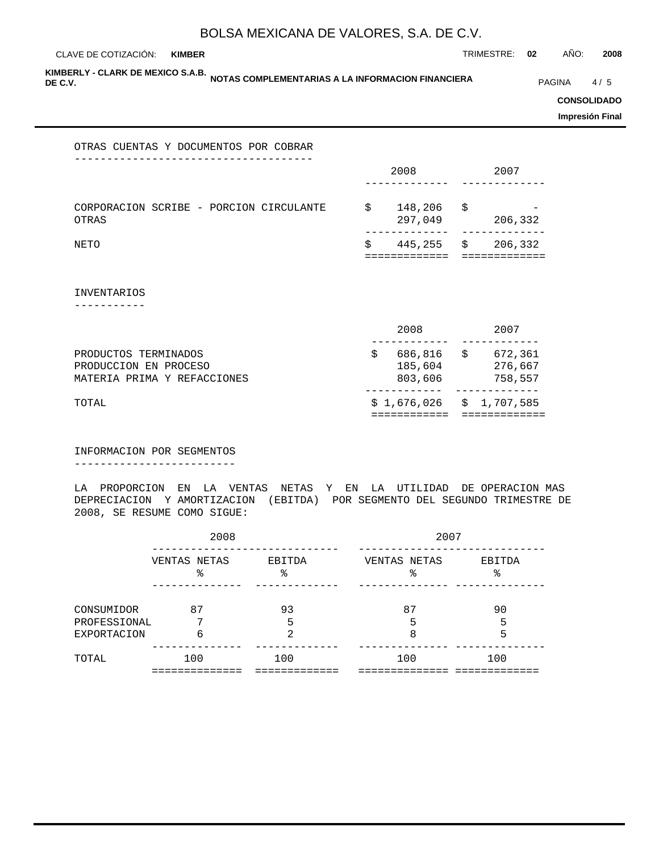CLAVE DE COTIZACIÓN: TRIMESTRE: **02** AÑO: **2008 KIMBER**

KIMBERLY - CLARK DE MEXICO S.A.B.<br>DE C.V.

**DE C.V.** PAGINA 64/5

#### **CONSOLIDADO**

**Impresión Final**

#### OTRAS CUENTAS Y DOCUMENTOS POR COBRAR -------------------------------------

|                                                  | 2008 |                    |      | 2007    |  |  |
|--------------------------------------------------|------|--------------------|------|---------|--|--|
|                                                  |      |                    |      |         |  |  |
| CORPORACION SCRIBE - PORCION CIRCULANTE<br>OTRAS | Ŝ.   | 148,206<br>297,049 | - \$ | 206,332 |  |  |
| NETO                                             | S    | 445,255 \$         |      | 206,332 |  |  |

INVENTARIOS

-----------

| TOTAL                       |         |   | $$1,676,026$ $$1,707,585$ |
|-----------------------------|---------|---|---------------------------|
|                             |         |   |                           |
| MATERIA PRIMA Y REFACCIONES | 803,606 |   | 758,557                   |
| PRODUCCION EN PROCESO       | 185,604 |   | 276,667                   |
| PRODUCTOS TERMINADOS        | 686,816 | S | 672,361                   |
|                             |         |   |                           |
|                             | 2008    |   | 2007                      |

INFORMACION POR SEGMENTOS -------------------------

LA PROPORCION EN LA VENTAS NETAS Y EN LA UTILIDAD DE OPERACION MAS DEPRECIACION Y AMORTIZACION (EBITDA) POR SEGMENTO DEL SEGUNDO TRIMESTRE DE 2008, SE RESUME COMO SIGUE:

|                    | 2008               |             | 2007               |             |  |  |  |  |
|--------------------|--------------------|-------------|--------------------|-------------|--|--|--|--|
|                    | VENTAS NETAS<br>ిన | EBITDA<br>° | VENTAS NETAS<br>ిన | EBITDA<br>ᆶ |  |  |  |  |
|                    |                    |             |                    |             |  |  |  |  |
| CONSUMIDOR         | 87                 | 93          | 87                 | 90          |  |  |  |  |
| PROFESSIONAL       | ヮ                  | 5           | 5                  | 5           |  |  |  |  |
| <b>EXPORTACION</b> | 6                  | 2           | 8                  | 5           |  |  |  |  |
| TOTAL              | 100                | 100         | 100                | 100         |  |  |  |  |
|                    |                    |             |                    |             |  |  |  |  |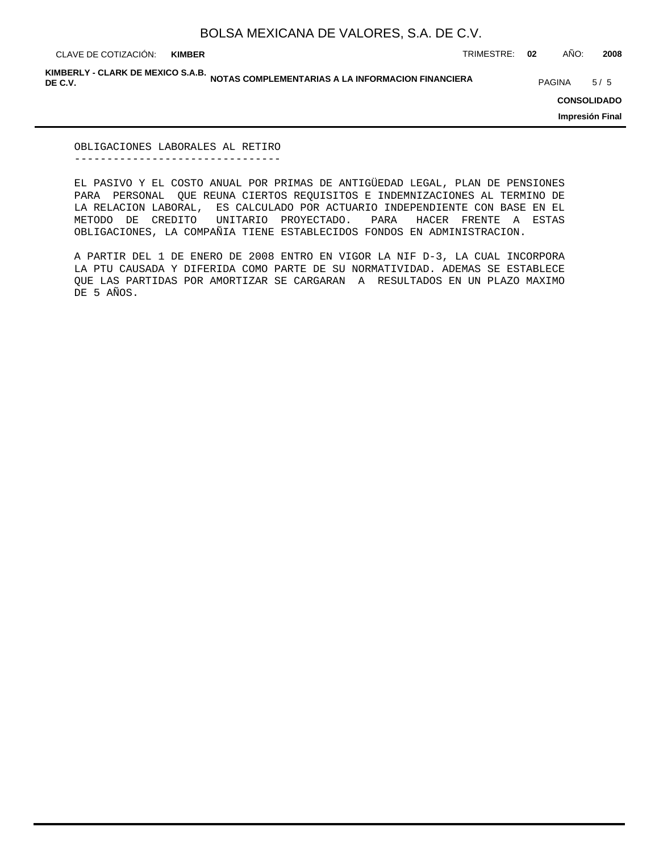**KIMBER**

CLAVE DE COTIZACIÓN: TRIMESTRE: **02** AÑO: **2008**

KIMBERLY - CLARK DE MEXICO S.A.B.<br>DE C.V. **DE C.V.** PAGINA 5/5 5/5

**CONSOLIDADO**

**Impresión Final**

OBLIGACIONES LABORALES AL RETIRO --------------------------------

EL PASIVO Y EL COSTO ANUAL POR PRIMAS DE ANTIGÜEDAD LEGAL, PLAN DE PENSIONES PARA PERSONAL QUE REUNA CIERTOS REQUISITOS E INDEMNIZACIONES AL TERMINO DE LA RELACION LABORAL, ES CALCULADO POR ACTUARIO INDEPENDIENTE CON BASE EN EL METODO DE CREDITO UNITARIO PROYECTADO. PARA HACER FRENTE A ESTAS OBLIGACIONES, LA COMPAÑIA TIENE ESTABLECIDOS FONDOS EN ADMINISTRACION.

A PARTIR DEL 1 DE ENERO DE 2008 ENTRO EN VIGOR LA NIF D-3, LA CUAL INCORPORA LA PTU CAUSADA Y DIFERIDA COMO PARTE DE SU NORMATIVIDAD. ADEMAS SE ESTABLECE QUE LAS PARTIDAS POR AMORTIZAR SE CARGARAN A RESULTADOS EN UN PLAZO MAXIMO DE 5 AÑOS.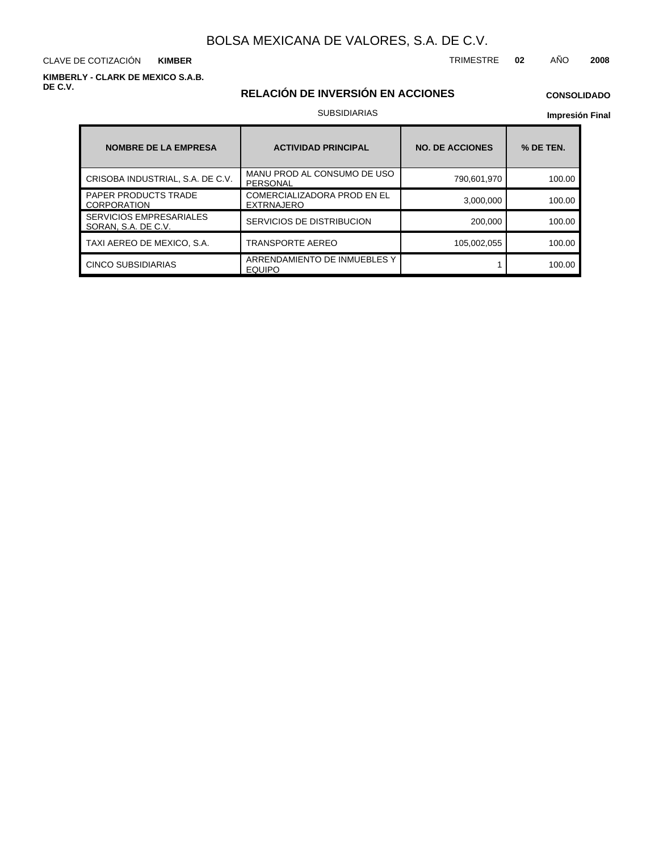CLAVE DE COTIZACIÓN TRIMESTRE **02** AÑO **2008 KIMBER**

**KIMBERLY - CLARK DE MEXICO S.A.B. DE C.V.**

## **RELACIÓN DE INVERSIÓN EN ACCIONES**

## **CONSOLIDADO**

## SUBSIDIARIAS

| <b>NOMBRE DE LA EMPRESA</b>                           | <b>ACTIVIDAD PRINCIPAL</b>                              | <b>NO. DE ACCIONES</b> | % DE TEN. |
|-------------------------------------------------------|---------------------------------------------------------|------------------------|-----------|
| CRISOBA INDUSTRIAL, S.A. DE C.V.                      | MANU PROD AL CONSUMO DE USO<br>PERSONAL                 | 790,601,970            | 100.00    |
| <b>PAPER PRODUCTS TRADE</b><br><b>CORPORATION</b>     | <b>COMERCIALIZADORA PROD EN EL</b><br><b>EXTRNAJERO</b> | 3,000,000              | 100.00    |
| <b>SERVICIOS EMPRESARIALES</b><br>SORAN, S.A. DE C.V. | SERVICIOS DE DISTRIBUCION                               | 200,000                | 100.00    |
| TAXI AEREO DE MEXICO, S.A.                            | TRANSPORTE AEREO                                        | 105,002,055            | 100.00    |
| <b>CINCO SUBSIDIARIAS</b>                             | ARRENDAMIENTO DE INMUEBLES Y<br><b>EQUIPO</b>           |                        | 100.00    |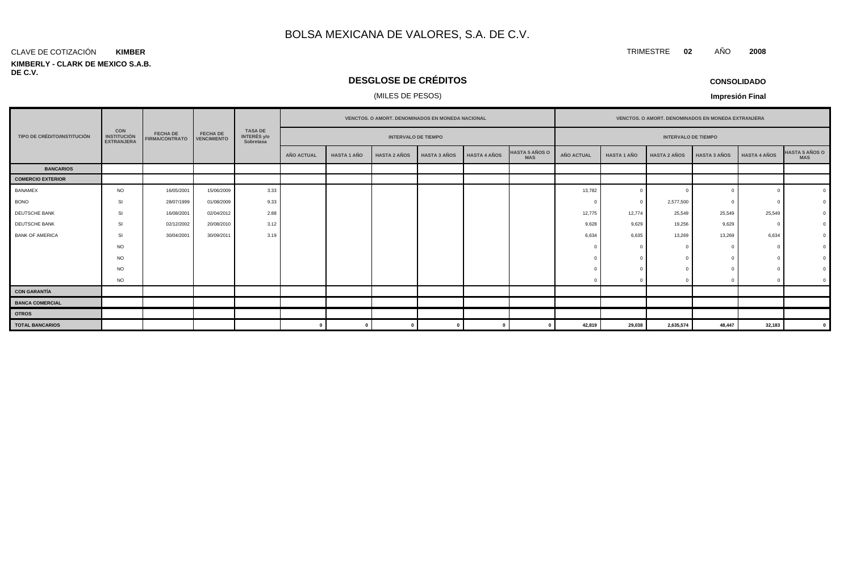#### CLAVE DE COTIZACIÓN **KIMBER**

#### **KIMBERLY - CLARK DE MEXICO S.A.B. DE C.V.**

# **DESGLOSE DE CRÉDITOS**

## (MILES DE PESOS)

**CONSOLIDADO**

**Impresión Final**

|                                    |                                                       |                                          |                                       |                                            |                   |                    | <b>VENCTOS, O AMORT, DENOMINADOS EN MONEDA NACIONAL</b> |                     |                     |                                     | <b>VENCTOS, O AMORT, DENOMINADOS EN MONEDA EXTRANJERA</b> |                    |                            |                     |                     |                                     |
|------------------------------------|-------------------------------------------------------|------------------------------------------|---------------------------------------|--------------------------------------------|-------------------|--------------------|---------------------------------------------------------|---------------------|---------------------|-------------------------------------|-----------------------------------------------------------|--------------------|----------------------------|---------------------|---------------------|-------------------------------------|
| <b>TIPO DE CRÉDITO/INSTITUCIÓN</b> | <b>CON</b><br><b>INSTITUCIÓN</b><br><b>EXTRANJERA</b> | <b>FECHA DE</b><br><b>FIRMA/CONTRATO</b> | <b>FECHA DE</b><br><b>VENCIMIENTO</b> | <b>TASA DE</b><br>INTERÉS y/o<br>Sobretasa |                   |                    | <b>INTERVALO DE TIEMPO</b>                              |                     |                     |                                     |                                                           |                    | <b>INTERVALO DE TIEMPO</b> |                     |                     |                                     |
|                                    |                                                       |                                          |                                       |                                            | <b>AÑO ACTUAL</b> | <b>HASTA 1 AÑO</b> | <b>HASTA 2 AÑOS</b>                                     | <b>HASTA 3 AÑOS</b> | <b>HASTA 4 AÑOS</b> | <b>HASTA 5 AÑOS O</b><br><b>MAS</b> | AÑO ACTUAL                                                | <b>HASTA 1 AÑO</b> | <b>HASTA 2 AÑOS</b>        | <b>HASTA 3 AÑOS</b> | <b>HASTA 4 AÑOS</b> | <b>HASTA 5 AÑOS O</b><br><b>MAS</b> |
| <b>BANCARIOS</b>                   |                                                       |                                          |                                       |                                            |                   |                    |                                                         |                     |                     |                                     |                                                           |                    |                            |                     |                     |                                     |
| <b>COMERCIO EXTERIOR</b>           |                                                       |                                          |                                       |                                            |                   |                    |                                                         |                     |                     |                                     |                                                           |                    |                            |                     |                     |                                     |
| <b>BANAMEX</b>                     | <b>NO</b>                                             | 16/05/2001                               | 15/06/2009                            | 3.33                                       |                   |                    |                                                         |                     |                     |                                     | 13,782                                                    |                    |                            |                     |                     |                                     |
| <b>BONO</b>                        | <b>SI</b>                                             | 28/07/1999                               | 01/08/2009                            | 9.33                                       |                   |                    |                                                         |                     |                     |                                     |                                                           |                    | 2,577,500                  |                     |                     |                                     |
| DEUTSCHE BANK                      | SI                                                    | 16/08/2001                               | 02/04/2012                            | 2.88                                       |                   |                    |                                                         |                     |                     |                                     | 12,775                                                    | 12,774             | 25,549                     | 25,549              | 25,549              |                                     |
| DEUTSCHE BANK                      | SI                                                    | 02/12/2002                               | 20/08/2010                            | 3.12                                       |                   |                    |                                                         |                     |                     |                                     | 9,628                                                     | 9,629              | 19,256                     | 9,629               | $\Omega$            |                                     |
| <b>BANK OF AMERICA</b>             | SI                                                    | 30/04/2001                               | 30/09/2011                            | 3.19                                       |                   |                    |                                                         |                     |                     |                                     | 6,634                                                     | 6,635              | 13,269                     | 13,269              | 6,634               |                                     |
|                                    | <b>NO</b>                                             |                                          |                                       |                                            |                   |                    |                                                         |                     |                     |                                     |                                                           |                    |                            |                     |                     |                                     |
|                                    | <b>NO</b>                                             |                                          |                                       |                                            |                   |                    |                                                         |                     |                     |                                     |                                                           |                    |                            |                     |                     |                                     |
|                                    | <b>NO</b>                                             |                                          |                                       |                                            |                   |                    |                                                         |                     |                     |                                     |                                                           |                    |                            |                     |                     |                                     |
|                                    | <b>NO</b>                                             |                                          |                                       |                                            |                   |                    |                                                         |                     |                     |                                     |                                                           |                    | $\Omega$                   |                     |                     |                                     |
| <b>CON GARANTÍA</b>                |                                                       |                                          |                                       |                                            |                   |                    |                                                         |                     |                     |                                     |                                                           |                    |                            |                     |                     |                                     |
| <b>BANCA COMERCIAL</b>             |                                                       |                                          |                                       |                                            |                   |                    |                                                         |                     |                     |                                     |                                                           |                    |                            |                     |                     |                                     |
| <b>OTROS</b>                       |                                                       |                                          |                                       |                                            |                   |                    |                                                         |                     |                     |                                     |                                                           |                    |                            |                     |                     |                                     |
| <b>TOTAL BANCARIOS</b>             |                                                       |                                          |                                       |                                            |                   | - 0                |                                                         |                     |                     |                                     | 42,819                                                    | 29,038             | 2,635,574                  | 48,447              | 32,183              |                                     |

TRIMESTRE **02** AÑO **2008**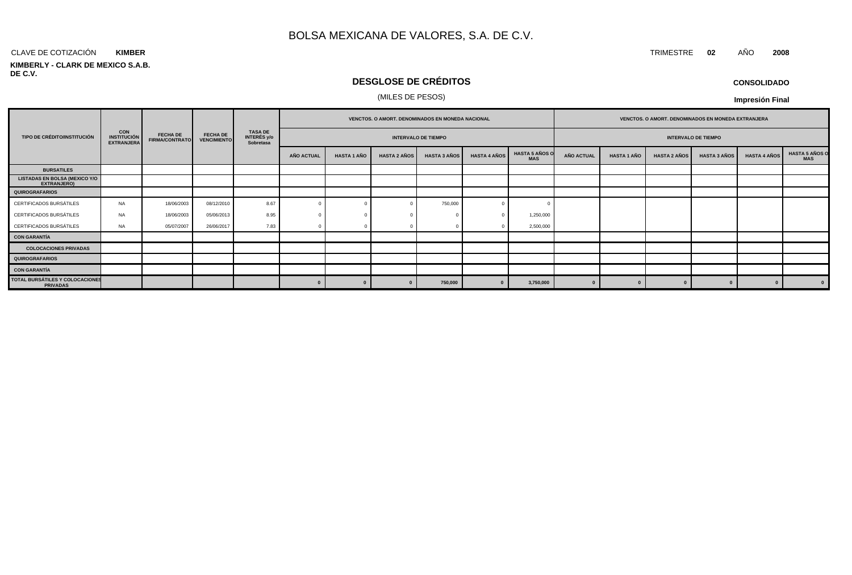#### CLAVE DE COTIZACIÓN TRIMESTRE **02** AÑO **2008 KIMBER**

#### **KIMBERLY - CLARK DE MEXICO S.A.B. DE C.V.**

# **DESGLOSE DE CRÉDITOS**

### (MILES DE PESOS)

|                                                     |                                                       |                                          |                                       |                                             |                   |                            |                     | VENCTOS. O AMORT. DENOMINADOS EN MONEDA NACIONAL |                     |                                     | <b>VENCTOS, O AMORT, DENOMINADOS EN MONEDA EXTRANJERA</b> |                    |                            |                     |                     |                                     |
|-----------------------------------------------------|-------------------------------------------------------|------------------------------------------|---------------------------------------|---------------------------------------------|-------------------|----------------------------|---------------------|--------------------------------------------------|---------------------|-------------------------------------|-----------------------------------------------------------|--------------------|----------------------------|---------------------|---------------------|-------------------------------------|
| TIPO DE CRÉDITO/INSTITUCIÓN                         | <b>CON</b><br><b>INSTITUCIÓN</b><br><b>EXTRANJERA</b> | <b>FECHA DE</b><br><b>FIRMA/CONTRATO</b> | <b>FECHA DE</b><br><b>VENCIMIENTO</b> | <b>TASA DE<br/>INTERÉS y/o</b><br>Sobretasa |                   | <b>INTERVALO DE TIEMPO</b> |                     |                                                  |                     |                                     |                                                           |                    | <b>INTERVALO DE TIEMPO</b> |                     |                     |                                     |
|                                                     |                                                       |                                          |                                       |                                             | <b>AÑO ACTUAL</b> | <b>HASTA 1 AÑO</b>         | <b>HASTA 2 AÑOS</b> | <b>HASTA 3 AÑOS</b>                              | <b>HASTA 4 AÑOS</b> | <b>HASTA 5 AÑOS O</b><br><b>MAS</b> | <b>AÑO ACTUAL</b>                                         | <b>HASTA 1 AÑO</b> | <b>HASTA 2 AÑOS</b>        | <b>HASTA 3 AÑOS</b> | <b>HASTA 4 AÑOS</b> | <b>HASTA 5 AÑOS O</b><br><b>MAS</b> |
| <b>BURSATILES</b>                                   |                                                       |                                          |                                       |                                             |                   |                            |                     |                                                  |                     |                                     |                                                           |                    |                            |                     |                     |                                     |
| <b>LISTADAS EN BOLSA (MEXICO Y/O</b><br>EXTRANJERO) |                                                       |                                          |                                       |                                             |                   |                            |                     |                                                  |                     |                                     |                                                           |                    |                            |                     |                     |                                     |
| QUIROGRAFARIOS                                      |                                                       |                                          |                                       |                                             |                   |                            |                     |                                                  |                     |                                     |                                                           |                    |                            |                     |                     |                                     |
| CERTIFICADOS BURSÁTILES                             | <b>NA</b>                                             | 18/06/2003                               | 08/12/2010                            | 8.67                                        |                   |                            |                     | 750,000                                          |                     |                                     |                                                           |                    |                            |                     |                     |                                     |
| CERTIFICADOS BURSÁTILES                             | <b>NA</b>                                             | 18/06/2003                               | 05/06/2013                            | 8.95                                        |                   |                            |                     |                                                  |                     | 1,250,000                           |                                                           |                    |                            |                     |                     |                                     |
| CERTIFICADOS BURSÁTILES                             | <b>NA</b>                                             | 05/07/2007                               | 26/06/2017                            | 7.83                                        |                   |                            |                     |                                                  |                     | 2,500,000                           |                                                           |                    |                            |                     |                     |                                     |
| <b>CON GARANTÍA</b>                                 |                                                       |                                          |                                       |                                             |                   |                            |                     |                                                  |                     |                                     |                                                           |                    |                            |                     |                     |                                     |
| <b>COLOCACIONES PRIVADAS</b>                        |                                                       |                                          |                                       |                                             |                   |                            |                     |                                                  |                     |                                     |                                                           |                    |                            |                     |                     |                                     |
| QUIROGRAFARIOS                                      |                                                       |                                          |                                       |                                             |                   |                            |                     |                                                  |                     |                                     |                                                           |                    |                            |                     |                     |                                     |
| <b>CON GARANTÍA</b>                                 |                                                       |                                          |                                       |                                             |                   |                            |                     |                                                  |                     |                                     |                                                           |                    |                            |                     |                     |                                     |
| TOTAL BURSÁTILES Y COLOCACIONES<br><b>PRIVADAS</b>  |                                                       |                                          |                                       |                                             |                   | $\bf{0}$                   |                     | 750,000                                          | $\mathbf{0}$        | 3,750,000                           |                                                           |                    |                            |                     |                     | $\mathbf{0}$                        |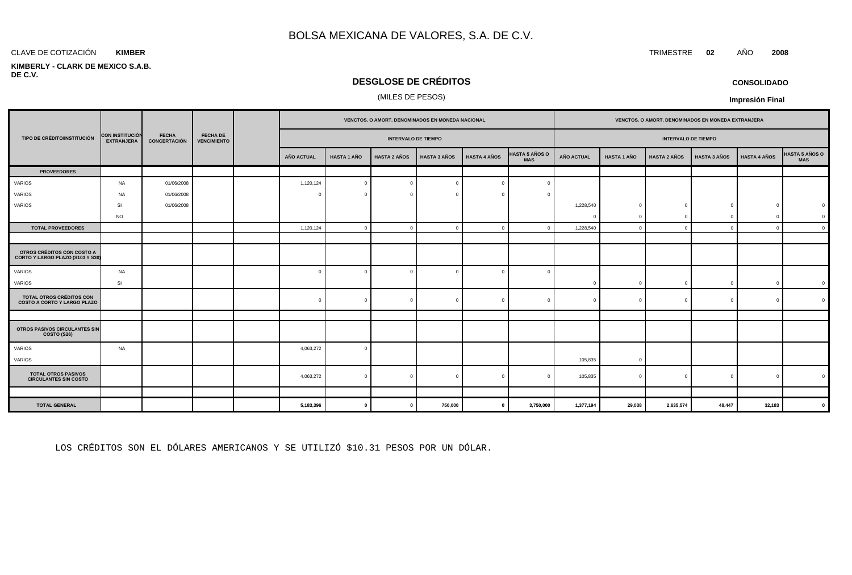#### CLAVE DE COTIZACIÓN TRIMESTRE **02** AÑO **2008 KIMBER**

#### **KIMBERLY - CLARK DE MEXICO S.A.B. DE C.V.**

## **DESGLOSE DE CRÉDITOS**

### (MILES DE PESOS)

| <b>EXTRANJERA</b>             | <b>FECHA</b><br><b>CONCERTACIÓN</b> | <b>FECHA DE</b><br><b>VENCIMIENTO</b> |                   |                    |                     |                     |                            |                                                  |                   |                    |                     |                         |                            |                                                                                               |
|-------------------------------|-------------------------------------|---------------------------------------|-------------------|--------------------|---------------------|---------------------|----------------------------|--------------------------------------------------|-------------------|--------------------|---------------------|-------------------------|----------------------------|-----------------------------------------------------------------------------------------------|
|                               |                                     |                                       | <b>AÑO ACTUAL</b> | <b>HASTA 1 AÑO</b> | <b>HASTA 2 AÑOS</b> | <b>HASTA 3 AÑOS</b> | <b>HASTA 4 AÑOS</b>        | HASTA 5 AÑOS O<br><b>MAS</b>                     | <b>AÑO ACTUAL</b> | <b>HASTA 1 AÑO</b> | <b>HASTA 2 AÑOS</b> | <b>HASTA 3 AÑOS</b>     | <b>HASTA 4 AÑOS</b>        | HASTA 5 AÑOS O                                                                                |
|                               |                                     |                                       |                   |                    |                     |                     |                            |                                                  |                   |                    |                     |                         |                            |                                                                                               |
| NA                            | 01/06/2008                          |                                       | 1,120,124         |                    | $\overline{0}$      | $\Omega$            | $\Omega$                   |                                                  |                   |                    |                     |                         |                            |                                                                                               |
| <b>NA</b>                     | 01/06/2008                          |                                       | $\sqrt{ }$        |                    | $\overline{0}$      |                     |                            |                                                  |                   |                    |                     |                         |                            |                                                                                               |
| SI                            | 01/06/2008                          |                                       |                   |                    |                     |                     |                            |                                                  | 1,228,540         | $\Omega$           | $\Omega$            | $\Omega$                | $\Omega$                   |                                                                                               |
| <b>NO</b>                     |                                     |                                       |                   |                    |                     |                     |                            |                                                  | $\overline{0}$    | $\Omega$           | $\Omega$            | $\overline{\mathbf{0}}$ | $\mathbf{0}$               |                                                                                               |
|                               |                                     |                                       | 1,120,124         | $\Omega$           | $\overline{0}$      |                     | $\Omega$                   |                                                  | 1,228,540         | $\Omega$           | $\Omega$            | $\Omega$                | $\mathbf 0$                |                                                                                               |
|                               |                                     |                                       |                   |                    |                     |                     |                            |                                                  |                   |                    |                     |                         |                            |                                                                                               |
|                               |                                     |                                       |                   |                    |                     |                     |                            |                                                  |                   |                    |                     |                         |                            |                                                                                               |
| NA                            |                                     |                                       | $\Omega$          | $\bigcap$          | $\overline{0}$      |                     | $\Omega$                   |                                                  |                   |                    |                     |                         |                            |                                                                                               |
| SI                            |                                     |                                       |                   |                    |                     |                     |                            |                                                  | $\mathbf 0$       | $\Omega$           | $\mathbf{0}$        | $\Omega$                |                            |                                                                                               |
|                               |                                     |                                       | $\Omega$          | $\Omega$           | $\overline{0}$      |                     | $\Omega$                   |                                                  | $\Omega$          |                    | $\Omega$            | $\Omega$                |                            |                                                                                               |
|                               |                                     |                                       |                   |                    |                     |                     |                            |                                                  |                   |                    |                     |                         |                            |                                                                                               |
|                               |                                     |                                       |                   |                    |                     |                     |                            |                                                  |                   |                    |                     |                         |                            |                                                                                               |
| <b>NA</b>                     |                                     |                                       | 4,063,272         | $\bigcap$          |                     |                     |                            |                                                  | 105,835           | $\Omega$           |                     |                         |                            |                                                                                               |
|                               |                                     |                                       | 4,063,272         | $\Omega$           | $\overline{0}$      |                     | $\Omega$                   |                                                  | 105,835           | $\Omega$           | $\Omega$            | $\Omega$                |                            |                                                                                               |
|                               |                                     |                                       |                   |                    |                     |                     |                            |                                                  |                   |                    |                     |                         |                            |                                                                                               |
|                               |                                     |                                       | 5,183,396         | $\mathbf{0}$       | $\mathbf 0$         | 750,000             |                            | 3,750,000                                        | 1,377,194         | 29,038             | 2,635,574           | 48,447                  | 32,183                     |                                                                                               |
| OTROS PASIVOS CIRCULANTES SIN | CORTO Y LARGO PLAZO (S103 Y S30)    | CON INSTITUCIÓN                       |                   |                    |                     | $\Omega$            | <b>INTERVALO DE TIEMPO</b> | VENCTOS. O AMORT. DENOMINADOS EN MONEDA NACIONAL | $\mathbf 0$       |                    |                     |                         | <b>INTERVALO DE TIEMPO</b> | VENCTOS. O AMORT. DENOMINADOS EN MONEDA EXTRANJERA<br>$\circ$<br>$\mathbf{0}$<br>$\mathbf{0}$ |

LOS CRÉDITOS SON EL DÓLARES AMERICANOS Y SE UTILIZÓ \$10.31 PESOS POR UN DÓLAR.

**CONSOLIDADO**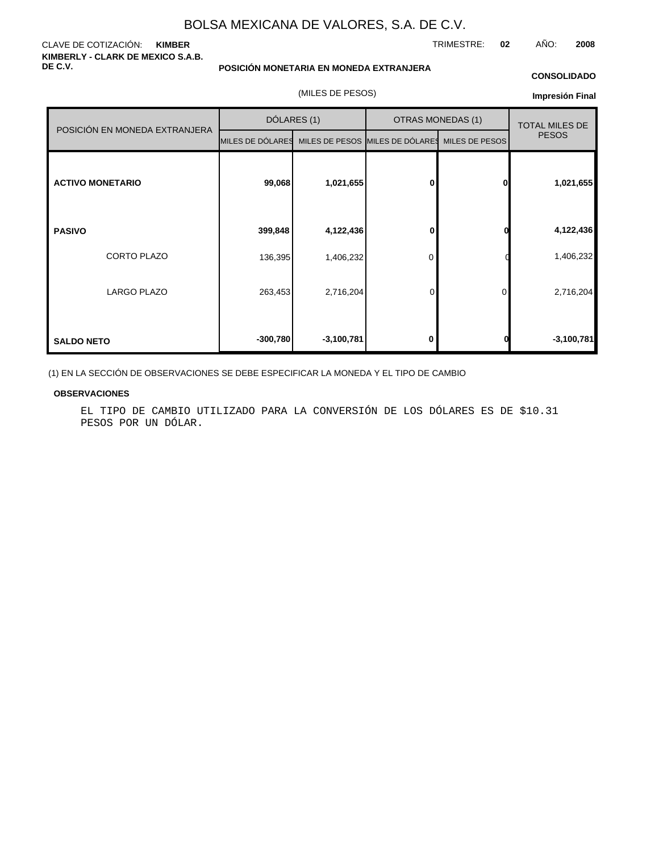#### CLAVE DE COTIZACIÓN: **KIMBER KIMBERLY - CLARK DE MEXICO S.A.B. DE C.V.**

**POSICIÓN MONETARIA EN MONEDA EXTRANJERA**

(MILES DE PESOS)

#### **CONSOLIDADO**

**Impresión Final**

|                               | DÓLARES (1)                                                     |              |              | <b>OTRAS MONEDAS (1)</b> | <b>TOTAL MILES DE</b> |  |
|-------------------------------|-----------------------------------------------------------------|--------------|--------------|--------------------------|-----------------------|--|
| POSICIÓN EN MONEDA EXTRANJERA | MILES DE DÓLARES MILES DE PESOS MILES DE DÓLARES MILES DE PESOS |              |              |                          | <b>PESOS</b>          |  |
| <b>ACTIVO MONETARIO</b>       | 99,068                                                          | 1,021,655    | $\mathbf{0}$ | 0                        | 1,021,655             |  |
| <b>PASIVO</b>                 | 399,848                                                         | 4,122,436    | $\mathbf{0}$ | Λ                        | 4,122,436             |  |
| <b>CORTO PLAZO</b>            | 136,395                                                         | 1,406,232    | 0            |                          | 1,406,232             |  |
| <b>LARGO PLAZO</b>            | 263,453                                                         | 2,716,204    | 0            | $\overline{0}$           | 2,716,204             |  |
| <b>SALDO NETO</b>             | $-300,780$                                                      | $-3,100,781$ | 0            |                          | $-3,100,781$          |  |

(1) EN LA SECCIÓN DE OBSERVACIONES SE DEBE ESPECIFICAR LA MONEDA Y EL TIPO DE CAMBIO

#### **OBSERVACIONES**

EL TIPO DE CAMBIO UTILIZADO PARA LA CONVERSIÓN DE LOS DÓLARES ES DE \$10.31 PESOS POR UN DÓLAR.

TRIMESTRE: **02** AÑO: **2008**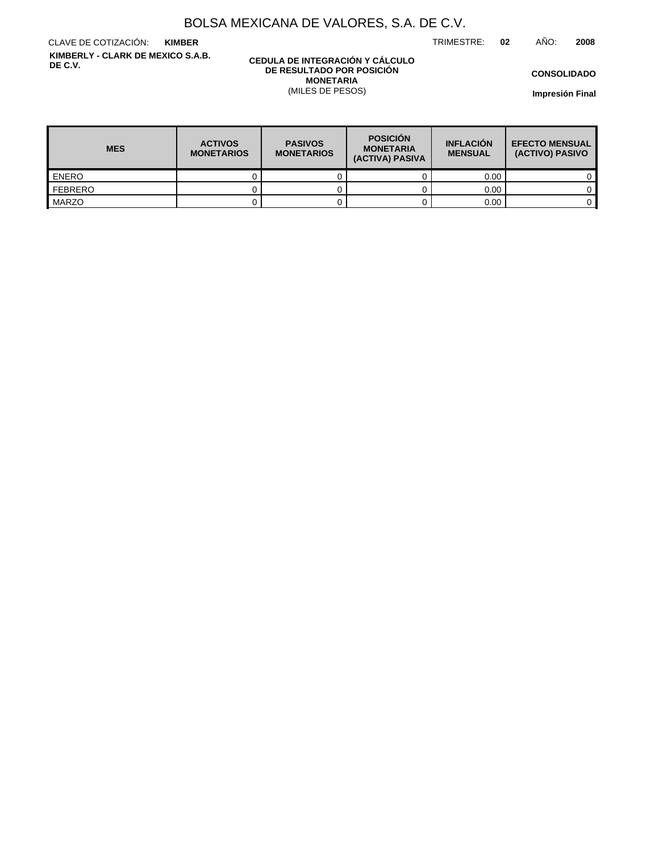TRIMESTRE: **02** AÑO: **2008**

CLAVE DE COTIZACIÓN: **KIMBER KIMBERLY - CLARK DE MEXICO S.A.B. DE C.V.**

#### **CEDULA DE INTEGRACIÓN Y CÁLCULO DE RESULTADO POR POSICIÓN MONETARIA** (MILES DE PESOS)

**CONSOLIDADO**

| <b>MES</b>     | <b>ACTIVOS</b><br><b>MONETARIOS</b> | <b>PASIVOS</b><br><b>MONETARIOS</b> | <b>POSICIÓN</b><br><b>MONETARIA</b><br>(ACTIVA) PASIVA | <b>INFLACIÓN</b><br><b>MENSUAL</b> | <b>EFECTO MENSUAL</b><br>(ACTIVO) PASIVO |
|----------------|-------------------------------------|-------------------------------------|--------------------------------------------------------|------------------------------------|------------------------------------------|
| <b>ENERO</b>   |                                     |                                     |                                                        | 0.00                               |                                          |
| <b>FEBRERO</b> |                                     |                                     |                                                        | 0.00                               |                                          |
| MARZO          |                                     |                                     |                                                        | 0.00                               |                                          |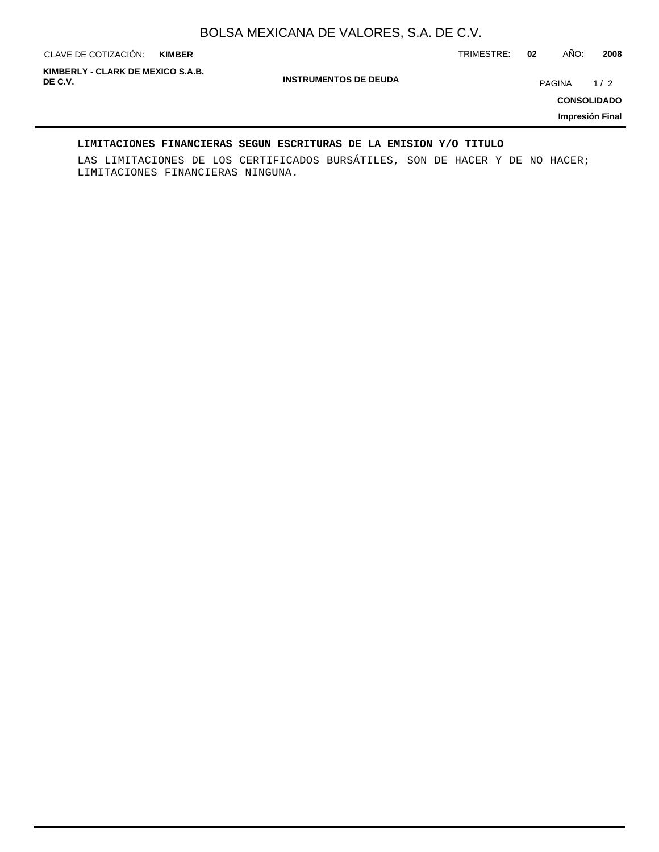**KIMBER**

CLAVE DE COTIZACIÓN: TRIMESTRE: **02** AÑO: **2008**

**KIMBERLY - CLARK DE MEXICO S.A.B.**

**INSTRUMENTOS DE DEUDA**

**PAGINA** 1/2

**CONSOLIDADO**

**Impresión Final**

#### **LIMITACIONES FINANCIERAS SEGUN ESCRITURAS DE LA EMISION Y/O TITULO**

LAS LIMITACIONES DE LOS CERTIFICADOS BURSÁTILES, SON DE HACER Y DE NO HACER; LIMITACIONES FINANCIERAS NINGUNA.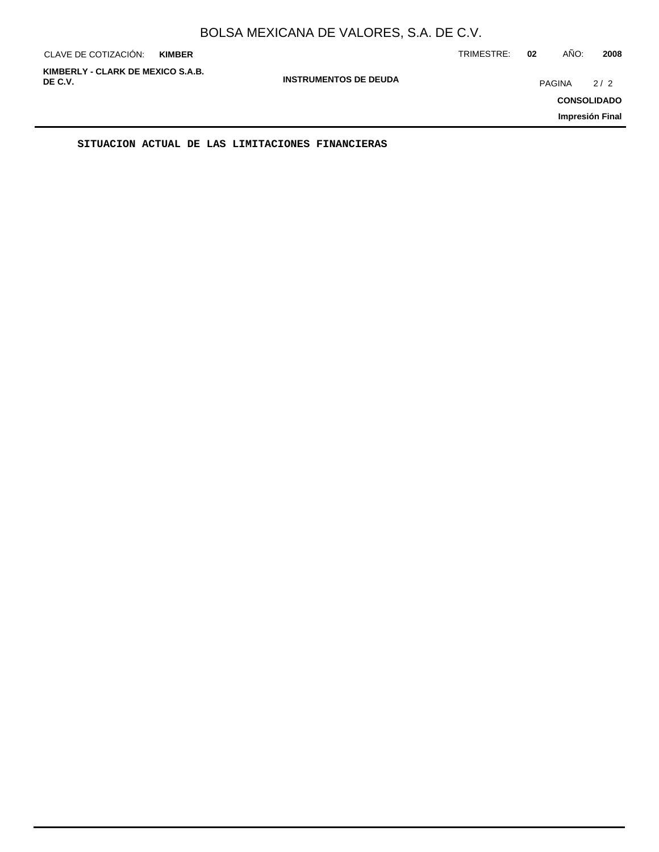| CLAVE DE COTIZACIÓN:                         | <b>KIMBER</b> |                              | TRIMESTRE: | 02 | AÑO:          | 2008                      |
|----------------------------------------------|---------------|------------------------------|------------|----|---------------|---------------------------|
| KIMBERLY - CLARK DE MEXICO S.A.B.<br>DE C.V. |               | <b>INSTRUMENTOS DE DEUDA</b> |            |    | <b>PAGINA</b> | 2/2<br><b>CONSOLIDADO</b> |
|                                              |               |                              |            |    |               | Impresión Final           |

**SITUACION ACTUAL DE LAS LIMITACIONES FINANCIERAS**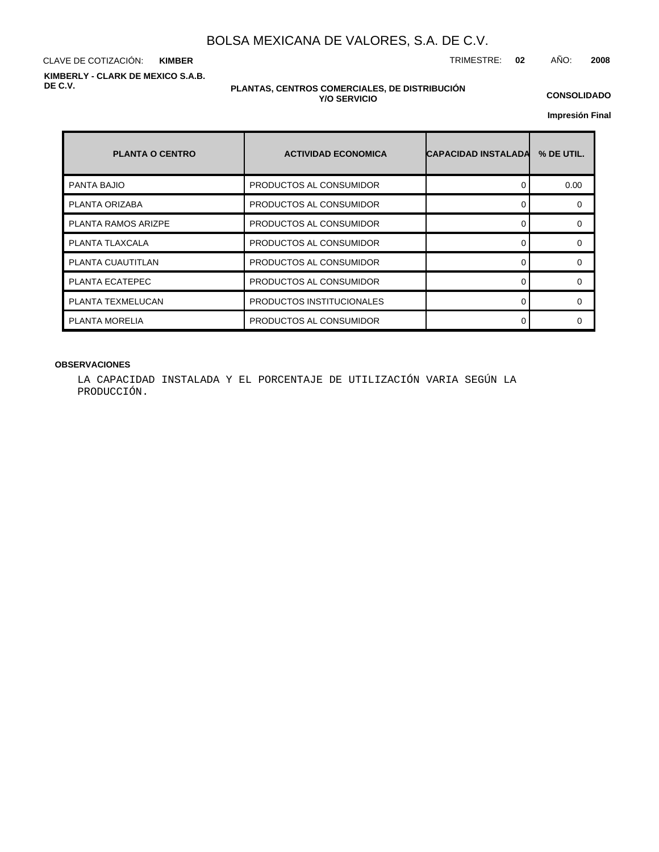CLAVE DE COTIZACIÓN: TRIMESTRE: **02** AÑO: **2008 KIMBER KIMBERLY - CLARK DE MEXICO S.A.B. DE C.V.**

#### **PLANTAS, CENTROS COMERCIALES, DE DISTRIBUCIÓN Y/O SERVICIO**

**CONSOLIDADO**

**Impresión Final**

| <b>PLANTA O CENTRO</b>     | <b>ACTIVIDAD ECONOMICA</b> | <b>CAPACIDAD INSTALADA</b> | % DE UTIL. |
|----------------------------|----------------------------|----------------------------|------------|
| <b>PANTA BAJIO</b>         | PRODUCTOS AL CONSUMIDOR    |                            | 0.00       |
| PLANTA ORIZABA             | PRODUCTOS AL CONSUMIDOR    |                            |            |
| <b>PLANTA RAMOS ARIZPE</b> | PRODUCTOS AL CONSUMIDOR    |                            | ∩          |
| PLANTA TLAXCALA            | PRODUCTOS AL CONSUMIDOR    |                            |            |
| PLANTA CUAUTITLAN          | PRODUCTOS AL CONSUMIDOR    |                            |            |
| PLANTA ECATEPEC            | PRODUCTOS AL CONSUMIDOR    | ∩                          |            |
| PLANTA TEXMELUCAN          | PRODUCTOS INSTITUCIONALES  |                            |            |
| PLANTA MORELIA             | PRODUCTOS AL CONSUMIDOR    |                            |            |

### **OBSERVACIONES**

LA CAPACIDAD INSTALADA Y EL PORCENTAJE DE UTILIZACIÓN VARIA SEGÚN LA PRODUCCIÓN.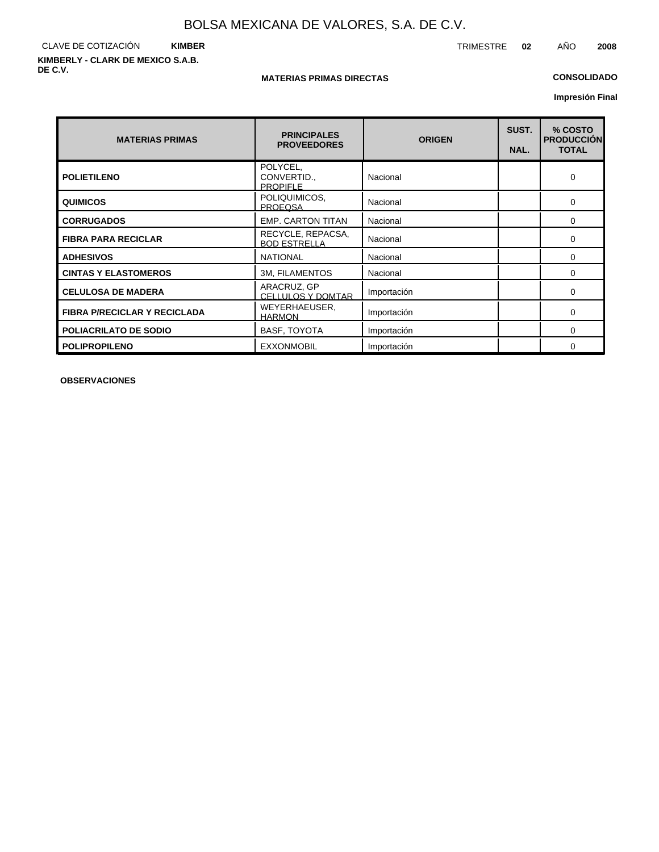CLAVE DE COTIZACIÓN **KIMBER KIMBERLY - CLARK DE MEXICO S.A.B. DE C.V.**

### **MATERIAS PRIMAS DIRECTAS**

#### **CONSOLIDADO**

TRIMESTRE **02** AÑO **2008**

**Impresión Final**

| <b>MATERIAS PRIMAS</b>              | <b>PRINCIPALES</b><br><b>PROVEEDORES</b>   | <b>ORIGEN</b> | SUST.<br>NAL. | % COSTO<br><b>PRODUCCIÓN</b><br><b>TOTAL</b> |
|-------------------------------------|--------------------------------------------|---------------|---------------|----------------------------------------------|
| <b>POLIETILENO</b>                  | POLYCEL.<br>CONVERTID.,<br><b>PROPIFLE</b> | Nacional      |               | 0                                            |
| <b>QUIMICOS</b>                     | POLIQUIMICOS,<br><b>PROEQSA</b>            | Nacional      |               | 0                                            |
| <b>CORRUGADOS</b>                   | <b>EMP. CARTON TITAN</b>                   | Nacional      |               | 0                                            |
| <b>FIBRA PARA RECICLAR</b>          | RECYCLE, REPACSA,<br><b>BOD ESTRELLA</b>   | Nacional      |               | $\Omega$                                     |
| <b>ADHESIVOS</b>                    | <b>NATIONAL</b>                            | Nacional      |               | 0                                            |
| <b>CINTAS Y ELASTOMEROS</b>         | 3M, FILAMENTOS                             | Nacional      |               | 0                                            |
| <b>CELULOSA DE MADERA</b>           | ARACRUZ, GP<br><b>CELLULOS Y DOMTAR</b>    | Importación   |               | $\Omega$                                     |
| <b>FIBRA P/RECICLAR Y RECICLADA</b> | WEYERHAEUSER,<br><b>HARMON</b>             | Importación   |               | 0                                            |
| <b>POLIACRILATO DE SODIO</b>        | BASF, TOYOTA                               | Importación   |               | 0                                            |
| <b>POLIPROPILENO</b>                | <b>EXXONMOBIL</b>                          | Importación   |               | 0                                            |

**OBSERVACIONES**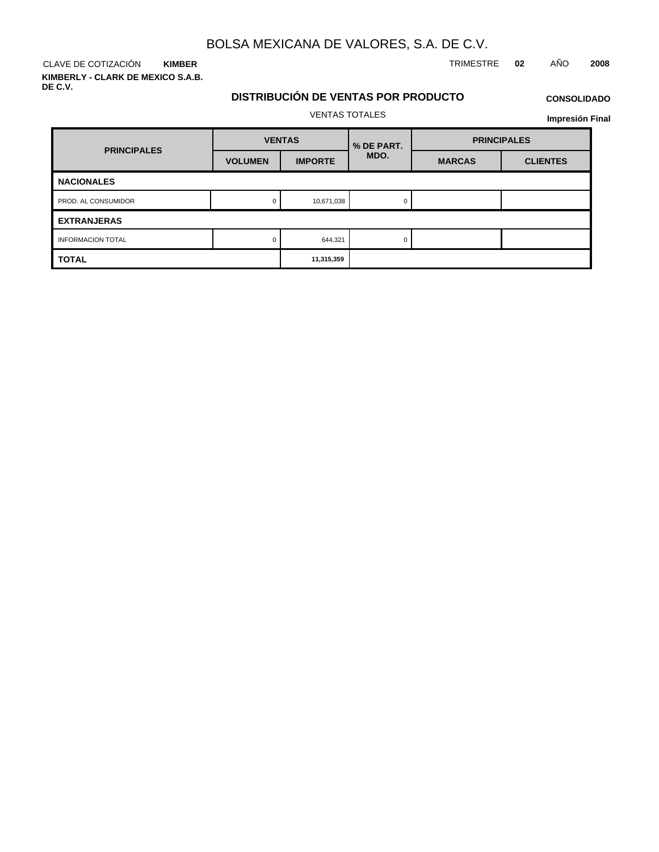**KIMBER**

**KIMBERLY - CLARK DE MEXICO S.A.B. DE C.V.**

## CLAVE DE COTIZACIÓN TRIMESTRE **02** AÑO **2008**

# **DISTRIBUCIÓN DE VENTAS POR PRODUCTO**

# **CONSOLIDADO Impresión Final**

VENTAS TOTALES

| <b>PRINCIPALES</b>       |                | <b>VENTAS</b>  | % DE PART. | <b>PRINCIPALES</b> |                 |  |  |
|--------------------------|----------------|----------------|------------|--------------------|-----------------|--|--|
|                          | <b>VOLUMEN</b> | <b>IMPORTE</b> | MDO.       | <b>MARCAS</b>      | <b>CLIENTES</b> |  |  |
| <b>NACIONALES</b>        |                |                |            |                    |                 |  |  |
| PROD. AL CONSUMIDOR      | 0              | 10,671,038     | C          |                    |                 |  |  |
| <b>EXTRANJERAS</b>       |                |                |            |                    |                 |  |  |
| <b>INFORMACION TOTAL</b> | $\mathbf 0$    | 644,321        | $\Omega$   |                    |                 |  |  |
| <b>TOTAL</b>             |                | 11,315,359     |            |                    |                 |  |  |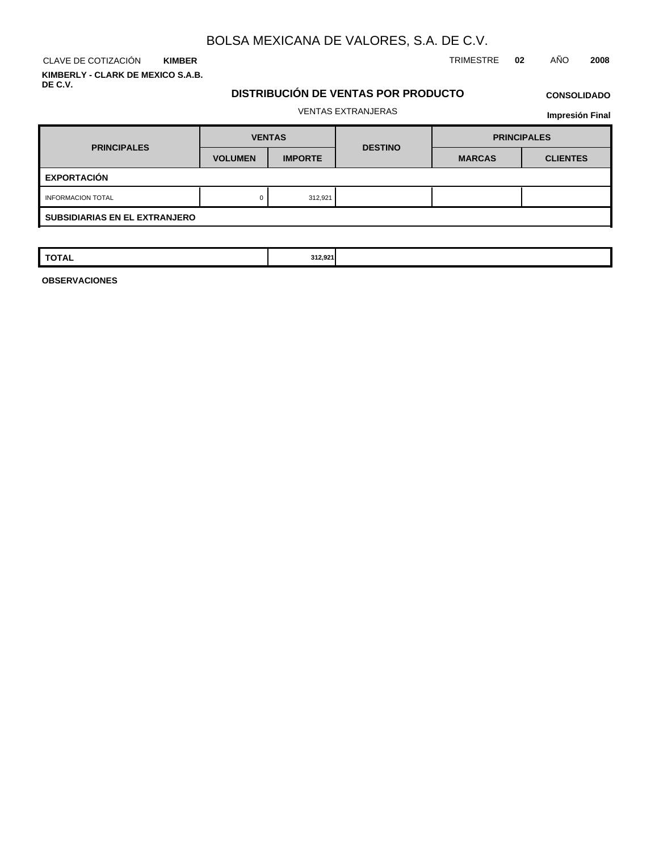**KIMBER KIMBERLY - CLARK DE MEXICO S.A.B. DE C.V.**

CLAVE DE COTIZACIÓN TRIMESTRE **02** AÑO **2008**

## **DISTRIBUCIÓN DE VENTAS POR PRODUCTO**

# **CONSOLIDADO**

## VENTAS EXTRANJERAS

**Impresión Final**

| <b>PRINCIPALES</b>                   | <b>VENTAS</b>  |                | <b>DESTINO</b> | <b>PRINCIPALES</b> |                 |  |  |  |  |  |  |
|--------------------------------------|----------------|----------------|----------------|--------------------|-----------------|--|--|--|--|--|--|
|                                      | <b>VOLUMEN</b> | <b>IMPORTE</b> |                | <b>MARCAS</b>      | <b>CLIENTES</b> |  |  |  |  |  |  |
| <b>EXPORTACIÓN</b>                   |                |                |                |                    |                 |  |  |  |  |  |  |
| <b>INFORMACION TOTAL</b>             |                | 312,921        |                |                    |                 |  |  |  |  |  |  |
| <b>SUBSIDIARIAS EN EL EXTRANJERO</b> |                |                |                |                    |                 |  |  |  |  |  |  |

| <b>TOTAL</b><br>312,921 |
|-------------------------|
|-------------------------|

**OBSERVACIONES**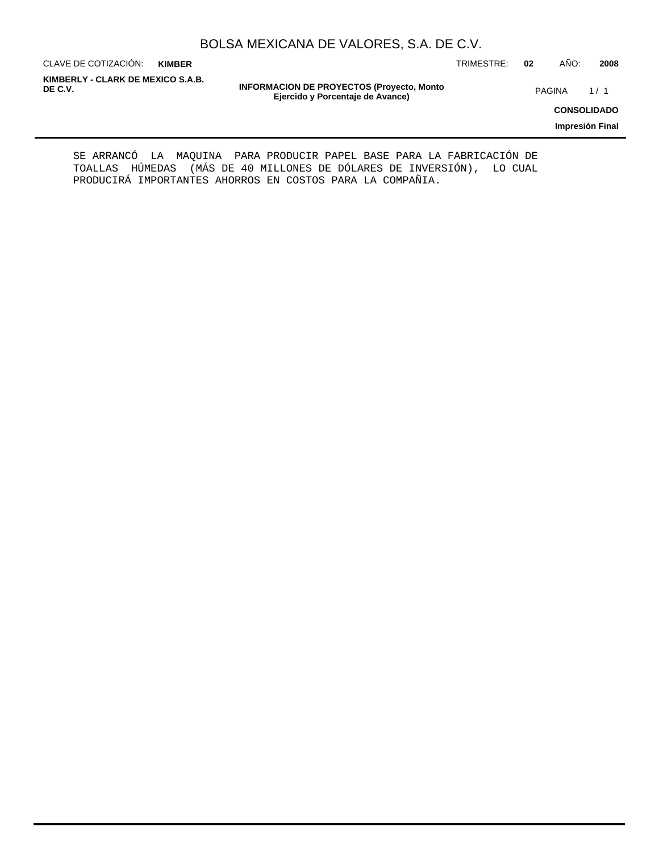CLAVE DE COTIZACIÓN: TRIMESTRE: **02** AÑO: **2008 KIMBER**

**KIMBERLY - CLARK DE MEXICO S.A.B.**

**INFORMACION DE PROYECTOS (Proyecto, Monto DE C.V.** PAGINA 1 / 1 **Ejercido y Porcentaje de Avance)**

**CONSOLIDADO**

**Impresión Final**

SE ARRANCÓ LA MAQUINA PARA PRODUCIR PAPEL BASE PARA LA FABRICACIÓN DE TOALLAS HÚMEDAS (MÁS DE 40 MILLONES DE DÓLARES DE INVERSIÓN), LO CUAL PRODUCIRÁ IMPORTANTES AHORROS EN COSTOS PARA LA COMPAÑIA.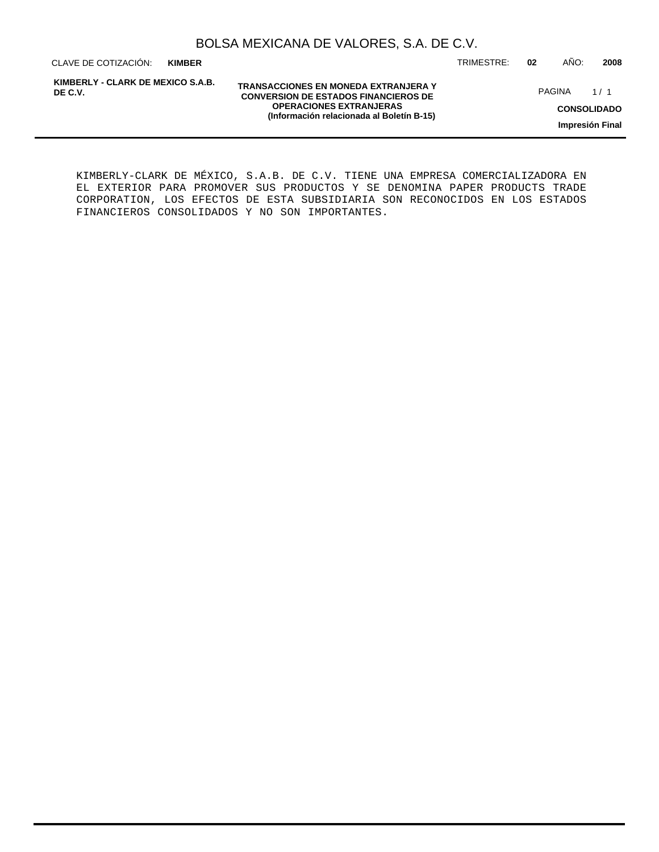CLAVE DE COTIZACIÓN: TRIMESTRE: **02** AÑO: **2008 KIMBER**

**KIMBERLY - CLARK DE MEXICO S.A.B. DE C.V.**

**TRANSACCIONES EN MONEDA EXTRANJERA Y CONVERSION DE ESTADOS FINANCIEROS DE OPERACIONES EXTRANJERAS (Información relacionada al Boletín B-15)**

PAGINA 1/1

**CONSOLIDADO**

**Impresión Final**

KIMBERLY-CLARK DE MÉXICO, S.A.B. DE C.V. TIENE UNA EMPRESA COMERCIALIZADORA EN EL EXTERIOR PARA PROMOVER SUS PRODUCTOS Y SE DENOMINA PAPER PRODUCTS TRADE CORPORATION, LOS EFECTOS DE ESTA SUBSIDIARIA SON RECONOCIDOS EN LOS ESTADOS FINANCIEROS CONSOLIDADOS Y NO SON IMPORTANTES.